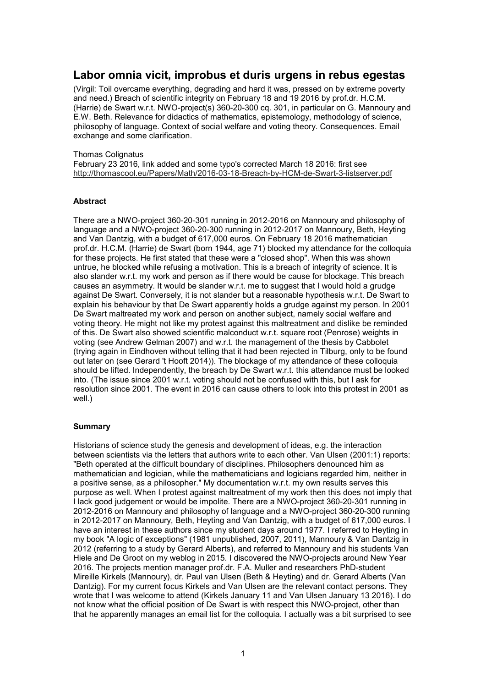# **Labor omnia vicit, improbus et duris urgens in rebus egestas**

(Virgil: Toil overcame everything, degrading and hard it was, pressed on by extreme poverty and need.) Breach of scientific integrity on February 18 and 19 2016 by prof.dr. H.C.M. (Harrie) de Swart w.r.t. NWO-project(s) 360-20-300 cq. 301, in particular on G. Mannoury and E.W. Beth. Relevance for didactics of mathematics, epistemology, methodology of science, philosophy of language. Context of social welfare and voting theory. Consequences. Email exchange and some clarification.

#### Thomas Colignatus

February 23 2016, link added and some typo's corrected March 18 2016: first see http://thomascool.eu/Papers/Math/2016-03-18-Breach-by-HCM-de-Swart-3-listserver.pdf

#### **Abstract**

There are a NWO-project 360-20-301 running in 2012-2016 on Mannoury and philosophy of language and a NWO-project 360-20-300 running in 2012-2017 on Mannoury, Beth, Heyting and Van Dantzig, with a budget of 617,000 euros. On February 18 2016 mathematician prof.dr. H.C.M. (Harrie) de Swart (born 1944, age 71) blocked my attendance for the colloquia for these projects. He first stated that these were a "closed shop". When this was shown untrue, he blocked while refusing a motivation. This is a breach of integrity of science. It is also slander w.r.t. my work and person as if there would be cause for blockage. This breach causes an asymmetry. It would be slander w.r.t. me to suggest that I would hold a grudge against De Swart. Conversely, it is not slander but a reasonable hypothesis w.r.t. De Swart to explain his behaviour by that De Swart apparently holds a grudge against my person. In 2001 De Swart maltreated my work and person on another subject, namely social welfare and voting theory. He might not like my protest against this maltreatment and dislike be reminded of this. De Swart also showed scientific malconduct w.r.t. square root (Penrose) weights in voting (see Andrew Gelman 2007) and w.r.t. the management of the thesis by Cabbolet (trying again in Eindhoven without telling that it had been rejected in Tilburg, only to be found out later on (see Gerard 't Hooft 2014)). The blockage of my attendance of these colloquia should be lifted. Independently, the breach by De Swart w.r.t. this attendance must be looked into. (The issue since 2001 w.r.t. voting should not be confused with this, but I ask for resolution since 2001. The event in 2016 can cause others to look into this protest in 2001 as well.)

#### **Summary**

Historians of science study the genesis and development of ideas, e.g. the interaction between scientists via the letters that authors write to each other. Van Ulsen (2001:1) reports: "Beth operated at the difficult boundary of disciplines. Philosophers denounced him as mathematician and logician, while the mathematicians and logicians regarded him, neither in a positive sense, as a philosopher." My documentation w.r.t. my own results serves this purpose as well. When I protest against maltreatment of my work then this does not imply that I lack good judgement or would be impolite. There are a NWO-project 360-20-301 running in 2012-2016 on Mannoury and philosophy of language and a NWO-project 360-20-300 running in 2012-2017 on Mannoury, Beth, Heyting and Van Dantzig, with a budget of 617,000 euros. I have an interest in these authors since my student days around 1977. I referred to Heyting in my book "A logic of exceptions" (1981 unpublished, 2007, 2011), Mannoury & Van Dantzig in 2012 (referring to a study by Gerard Alberts), and referred to Mannoury and his students Van Hiele and De Groot on my weblog in 2015. I discovered the NWO-projects around New Year 2016. The projects mention manager prof.dr. F.A. Muller and researchers PhD-student Mireille Kirkels (Mannoury), dr. Paul van Ulsen (Beth & Heyting) and dr. Gerard Alberts (Van Dantzig). For my current focus Kirkels and Van Ulsen are the relevant contact persons. They wrote that I was welcome to attend (Kirkels January 11 and Van Ulsen January 13 2016). I do not know what the official position of De Swart is with respect this NWO-project, other than that he apparently manages an email list for the colloquia. I actually was a bit surprised to see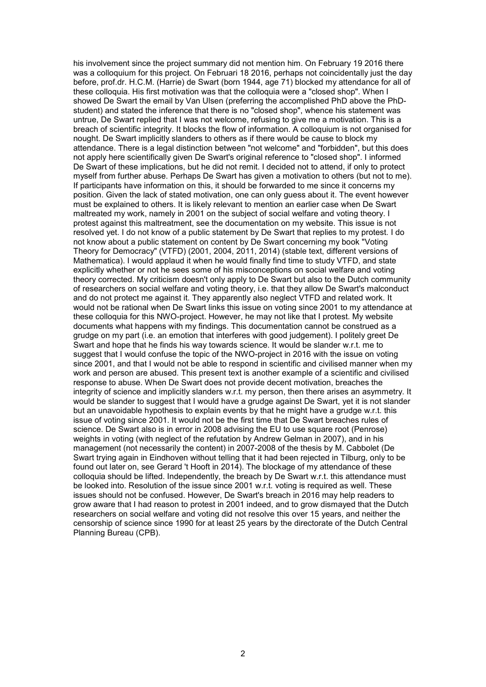his involvement since the project summary did not mention him. On February 19 2016 there was a colloquium for this project. On Februari 18 2016, perhaps not coincidentally just the day before, prof.dr. H.C.M. (Harrie) de Swart (born 1944, age 71) blocked my attendance for all of these colloquia. His first motivation was that the colloquia were a "closed shop". When I showed De Swart the email by Van Ulsen (preferring the accomplished PhD above the PhDstudent) and stated the inference that there is no "closed shop", whence his statement was untrue, De Swart replied that I was not welcome, refusing to give me a motivation. This is a breach of scientific integrity. It blocks the flow of information. A colloquium is not organised for nought. De Swart implicitly slanders to others as if there would be cause to block my attendance. There is a legal distinction between "not welcome" and "forbidden", but this does not apply here scientifically given De Swart's original reference to "closed shop". I informed De Swart of these implications, but he did not remit. I decided not to attend, if only to protect myself from further abuse. Perhaps De Swart has given a motivation to others (but not to me). If participants have information on this, it should be forwarded to me since it concerns my position. Given the lack of stated motivation, one can only guess about it. The event however must be explained to others. It is likely relevant to mention an earlier case when De Swart maltreated my work, namely in 2001 on the subject of social welfare and voting theory. I protest against this maltreatment, see the documentation on my website. This issue is not resolved yet. I do not know of a public statement by De Swart that replies to my protest. I do not know about a public statement on content by De Swart concerning my book "Voting Theory for Democracy" (VTFD) (2001, 2004, 2011, 2014) (stable text, different versions of Mathematica). I would applaud it when he would finally find time to study VTFD, and state explicitly whether or not he sees some of his misconceptions on social welfare and voting theory corrected. My criticism doesn't only apply to De Swart but also to the Dutch community of researchers on social welfare and voting theory, i.e. that they allow De Swart's malconduct and do not protect me against it. They apparently also neglect VTFD and related work. It would not be rational when De Swart links this issue on voting since 2001 to my attendance at these colloquia for this NWO-project. However, he may not like that I protest. My website documents what happens with my findings. This documentation cannot be construed as a grudge on my part (i.e. an emotion that interferes with good judgement). I politely greet De Swart and hope that he finds his way towards science. It would be slander w.r.t. me to suggest that I would confuse the topic of the NWO-project in 2016 with the issue on voting since 2001, and that I would not be able to respond in scientific and civilised manner when my work and person are abused. This present text is another example of a scientific and civilised response to abuse. When De Swart does not provide decent motivation, breaches the integrity of science and implicitly slanders w.r.t. my person, then there arises an asymmetry. It would be slander to suggest that I would have a grudge against De Swart, yet it is not slander but an unavoidable hypothesis to explain events by that he might have a grudge w.r.t. this issue of voting since 2001. It would not be the first time that De Swart breaches rules of science. De Swart also is in error in 2008 advising the EU to use square root (Penrose) weights in voting (with neglect of the refutation by Andrew Gelman in 2007), and in his management (not necessarily the content) in 2007-2008 of the thesis by M. Cabbolet (De Swart trying again in Eindhoven without telling that it had been rejected in Tilburg, only to be found out later on, see Gerard 't Hooft in 2014). The blockage of my attendance of these colloquia should be lifted. Independently, the breach by De Swart w.r.t. this attendance must be looked into. Resolution of the issue since 2001 w.r.t. voting is required as well. These issues should not be confused. However, De Swart's breach in 2016 may help readers to grow aware that I had reason to protest in 2001 indeed, and to grow dismayed that the Dutch researchers on social welfare and voting did not resolve this over 15 years, and neither the censorship of science since 1990 for at least 25 years by the directorate of the Dutch Central Planning Bureau (CPB).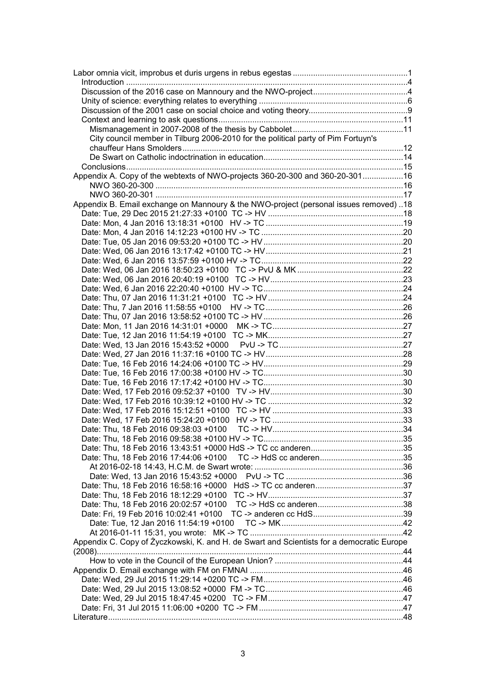| City council member in Tilburg 2006-2010 for the political party of Pim Fortuyn's         |  |
|-------------------------------------------------------------------------------------------|--|
|                                                                                           |  |
|                                                                                           |  |
|                                                                                           |  |
|                                                                                           |  |
| Appendix A. Copy of the webtexts of NWO-projects 360-20-300 and 360-20-30116              |  |
|                                                                                           |  |
|                                                                                           |  |
| Appendix B. Email exchange on Mannoury & the NWO-project (personal issues removed) 18     |  |
|                                                                                           |  |
|                                                                                           |  |
|                                                                                           |  |
|                                                                                           |  |
|                                                                                           |  |
|                                                                                           |  |
|                                                                                           |  |
|                                                                                           |  |
|                                                                                           |  |
|                                                                                           |  |
|                                                                                           |  |
|                                                                                           |  |
|                                                                                           |  |
|                                                                                           |  |
|                                                                                           |  |
|                                                                                           |  |
|                                                                                           |  |
|                                                                                           |  |
|                                                                                           |  |
|                                                                                           |  |
|                                                                                           |  |
|                                                                                           |  |
|                                                                                           |  |
|                                                                                           |  |
|                                                                                           |  |
|                                                                                           |  |
|                                                                                           |  |
|                                                                                           |  |
|                                                                                           |  |
|                                                                                           |  |
|                                                                                           |  |
|                                                                                           |  |
|                                                                                           |  |
|                                                                                           |  |
|                                                                                           |  |
|                                                                                           |  |
| Appendix C. Copy of Życzkowski, K. and H. de Swart and Scientists for a democratic Europe |  |
|                                                                                           |  |
|                                                                                           |  |
|                                                                                           |  |
|                                                                                           |  |
|                                                                                           |  |
|                                                                                           |  |
|                                                                                           |  |
|                                                                                           |  |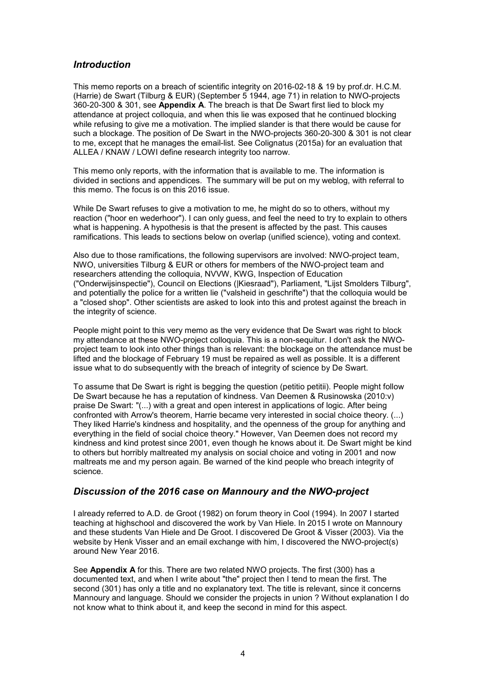### *Introduction*

This memo reports on a breach of scientific integrity on 2016-02-18 & 19 by prof.dr. H.C.M. (Harrie) de Swart (Tilburg & EUR) (September 5 1944, age 71) in relation to NWO-projects 360-20-300 & 301, see **Appendix A**. The breach is that De Swart first lied to block my attendance at project colloquia, and when this lie was exposed that he continued blocking while refusing to give me a motivation. The implied slander is that there would be cause for such a blockage. The position of De Swart in the NWO-projects 360-20-300 & 301 is not clear to me, except that he manages the email-list. See Colignatus (2015a) for an evaluation that ALLEA / KNAW / LOWI define research integrity too narrow.

This memo only reports, with the information that is available to me. The information is divided in sections and appendices. The summary will be put on my weblog, with referral to this memo. The focus is on this 2016 issue.

While De Swart refuses to give a motivation to me, he might do so to others, without my reaction ("hoor en wederhoor"). I can only guess, and feel the need to try to explain to others what is happening. A hypothesis is that the present is affected by the past. This causes ramifications. This leads to sections below on overlap (unified science), voting and context.

Also due to those ramifications, the following supervisors are involved: NWO-project team, NWO, universities Tilburg & EUR or others for members of the NWO-project team and researchers attending the colloquia, NVVW, KWG, Inspection of Education ("Onderwijsinspectie"), Council on Elections (|Kiesraad"), Parliament, "Lijst Smolders Tilburg", and potentially the police for a written lie ("valsheid in geschrifte") that the colloquia would be a "closed shop". Other scientists are asked to look into this and protest against the breach in the integrity of science.

People might point to this very memo as the very evidence that De Swart was right to block my attendance at these NWO-project colloquia. This is a non-sequitur. I don't ask the NWOproject team to look into other things than is relevant: the blockage on the attendance must be lifted and the blockage of February 19 must be repaired as well as possible. It is a different issue what to do subsequently with the breach of integrity of science by De Swart.

To assume that De Swart is right is begging the question (petitio petitii). People might follow De Swart because he has a reputation of kindness. Van Deemen & Rusinowska (2010:v) praise De Swart: "(...) with a great and open interest in applications of logic. After being confronted with Arrow's theorem, Harrie became very interested in social choice theory. (...) They liked Harrie's kindness and hospitality, and the openness of the group for anything and everything in the field of social choice theory." However, Van Deemen does not record my kindness and kind protest since 2001, even though he knows about it. De Swart might be kind to others but horribly maltreated my analysis on social choice and voting in 2001 and now maltreats me and my person again. Be warned of the kind people who breach integrity of science.

### *Discussion of the 2016 case on Mannoury and the NWO-project*

I already referred to A.D. de Groot (1982) on forum theory in Cool (1994). In 2007 I started teaching at highschool and discovered the work by Van Hiele. In 2015 I wrote on Mannoury and these students Van Hiele and De Groot. I discovered De Groot & Visser (2003). Via the website by Henk Visser and an email exchange with him, I discovered the NWO-project(s) around New Year 2016.

See **Appendix A** for this. There are two related NWO projects. The first (300) has a documented text, and when I write about "the" project then I tend to mean the first. The second (301) has only a title and no explanatory text. The title is relevant, since it concerns Mannoury and language. Should we consider the projects in union ? Without explanation I do not know what to think about it, and keep the second in mind for this aspect.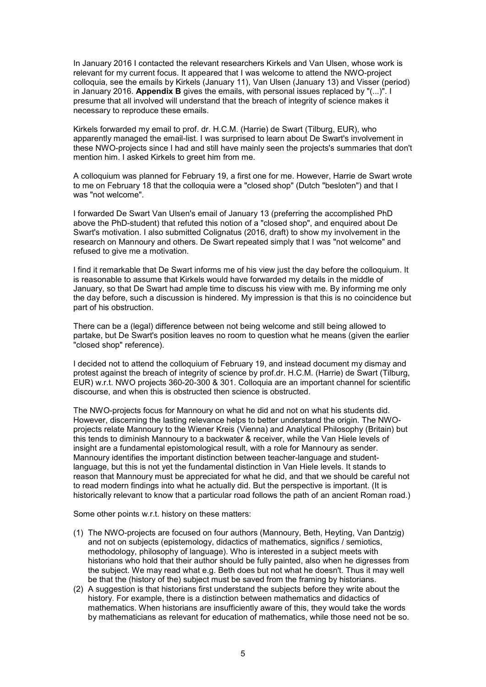In January 2016 I contacted the relevant researchers Kirkels and Van Ulsen, whose work is relevant for my current focus. It appeared that I was welcome to attend the NWO-project colloquia, see the emails by Kirkels (January 11), Van Ulsen (January 13) and Visser (period) in January 2016. **Appendix B** gives the emails, with personal issues replaced by "(...)". I presume that all involved will understand that the breach of integrity of science makes it necessary to reproduce these emails.

Kirkels forwarded my email to prof. dr. H.C.M. (Harrie) de Swart (Tilburg, EUR), who apparently managed the email-list. I was surprised to learn about De Swart's involvement in these NWO-projects since I had and still have mainly seen the projects's summaries that don't mention him. I asked Kirkels to greet him from me.

A colloquium was planned for February 19, a first one for me. However, Harrie de Swart wrote to me on February 18 that the colloquia were a "closed shop" (Dutch "besloten") and that I was "not welcome".

I forwarded De Swart Van Ulsen's email of January 13 (preferring the accomplished PhD above the PhD-student) that refuted this notion of a "closed shop", and enquired about De Swart's motivation. I also submitted Colignatus (2016, draft) to show my involvement in the research on Mannoury and others. De Swart repeated simply that I was "not welcome" and refused to give me a motivation.

I find it remarkable that De Swart informs me of his view just the day before the colloquium. It is reasonable to assume that Kirkels would have forwarded my details in the middle of January, so that De Swart had ample time to discuss his view with me. By informing me only the day before, such a discussion is hindered. My impression is that this is no coincidence but part of his obstruction.

There can be a (legal) difference between not being welcome and still being allowed to partake, but De Swart's position leaves no room to question what he means (given the earlier "closed shop" reference).

I decided not to attend the colloquium of February 19, and instead document my dismay and protest against the breach of integrity of science by prof.dr. H.C.M. (Harrie) de Swart (Tilburg, EUR) w.r.t. NWO projects 360-20-300 & 301. Colloquia are an important channel for scientific discourse, and when this is obstructed then science is obstructed.

The NWO-projects focus for Mannoury on what he did and not on what his students did. However, discerning the lasting relevance helps to better understand the origin. The NWOprojects relate Mannoury to the Wiener Kreis (Vienna) and Analytical Philosophy (Britain) but this tends to diminish Mannoury to a backwater & receiver, while the Van Hiele levels of insight are a fundamental epistomological result, with a role for Mannoury as sender. Mannoury identifies the important distinction between teacher-language and studentlanguage, but this is not yet the fundamental distinction in Van Hiele levels. It stands to reason that Mannoury must be appreciated for what he did, and that we should be careful not to read modern findings into what he actually did. But the perspective is important. (It is historically relevant to know that a particular road follows the path of an ancient Roman road.)

Some other points w.r.t. history on these matters:

- (1) The NWO-projects are focused on four authors (Mannoury, Beth, Heyting, Van Dantzig) and not on subjects (epistemology, didactics of mathematics, significs / semiotics, methodology, philosophy of language). Who is interested in a subject meets with historians who hold that their author should be fully painted, also when he digresses from the subject. We may read what e.g. Beth does but not what he doesn't. Thus it may well be that the (history of the) subject must be saved from the framing by historians.
- (2) A suggestion is that historians first understand the subjects before they write about the history. For example, there is a distinction between mathematics and didactics of mathematics. When historians are insufficiently aware of this, they would take the words by mathematicians as relevant for education of mathematics, while those need not be so.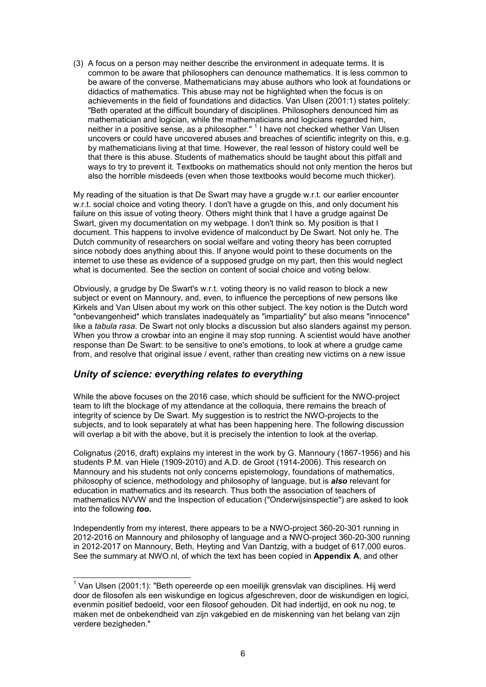(3) A focus on a person may neither describe the environment in adequate terms. It is common to be aware that philosophers can denounce mathematics. It is less common to be aware of the converse. Mathematicians may abuse authors who look at foundations or didactics of mathematics. This abuse may not be highlighted when the focus is on achievements in the field of foundations and didactics. Van Ulsen (2001:1) states politely: "Beth operated at the difficult boundary of disciplines. Philosophers denounced him as mathematician and logician, while the mathematicians and logicians regarded him, neither in a positive sense, as a philosopher." <sup>1</sup> I have not checked whether Van Ulsen uncovers or could have uncovered abuses and breaches of scientific integrity on this, e.g. by mathematicians living at that time. However, the real lesson of history could well be that there is this abuse. Students of mathematics should be taught about this pitfall and ways to try to prevent it. Textbooks on mathematics should not only mention the heros but also the horrible misdeeds (even when those textbooks would become much thicker).

My reading of the situation is that De Swart may have a grugde w.r.t. our earlier encounter w.r.t. social choice and voting theory. I don't have a grugde on this, and only document his failure on this issue of voting theory. Others might think that I have a grudge against De Swart, given my documentation on my webpage. I don't think so. My position is that I document. This happens to involve evidence of malconduct by De Swart. Not only he. The Dutch community of researchers on social welfare and voting theory has been corrupted since nobody does anything about this. If anyone would point to these documents on the internet to use these as evidence of a supposed grudge on my part, then this would neglect what is documented. See the section on content of social choice and voting below.

Obviously, a grudge by De Swart's w.r.t. voting theory is no valid reason to block a new subject or event on Mannoury, and, even, to influence the perceptions of new persons like Kirkels and Van Ulsen about my work on this other subject. The key notion is the Dutch word "onbevangenheid" which translates inadequately as "impartiality" but also means "innocence" like a *tabula rasa*. De Swart not only blocks a discussion but also slanders against my person. When you throw a crowbar into an engine it may stop running. A scientist would have another response than De Swart: to be sensitive to one's emotions, to look at where a grudge came from, and resolve that original issue / event, rather than creating new victims on a new issue

# *Unity of science: everything relates to everything*

While the above focuses on the 2016 case, which should be sufficient for the NWO-project team to lift the blockage of my attendance at the colloquia, there remains the breach of integrity of science by De Swart. My suggestion is to restrict the NWO-projects to the subjects, and to look separately at what has been happening here. The following discussion will overlap a bit with the above, but it is precisely the intention to look at the overlap.

Colignatus (2016, draft) explains my interest in the work by G. Mannoury (1867-1956) and his students P.M. van Hiele (1909-2010) and A.D. de Groot (1914-2006). This research on Mannoury and his students not only concerns epistemology, foundations of mathematics, philosophy of science, methodology and philosophy of language, but is *also* relevant for education in mathematics and its research. Thus both the association of teachers of mathematics NVVW and the Inspection of education ("Onderwijsinspectie") are asked to look into the following *too***.**

Independently from my interest, there appears to be a NWO-project 360-20-301 running in 2012-2016 on Mannoury and philosophy of language and a NWO-project 360-20-300 running in 2012-2017 on Mannoury, Beth, Heyting and Van Dantzig, with a budget of 617,000 euros. See the summary at NWO.nl, of which the text has been copied in **Appendix A**, and other

\_\_\_\_\_\_\_\_\_\_\_\_\_\_\_\_\_\_\_\_\_\_\_\_\_\_\_\_\_\_\_\_\_\_\_<br><sup>1</sup> Van Ulsen (2001:1): "Beth opereerde op een moeilijk grensvlak van disciplines. Hij werd door de filosofen als een wiskundige en logicus afgeschreven, door de wiskundigen en logici, evenmin positief bedoeld, voor een filosoof gehouden. Dit had indertijd, en ook nu nog, te maken met de onbekendheid van zijn vakgebied en de miskenning van het belang van zijn verdere bezigheden."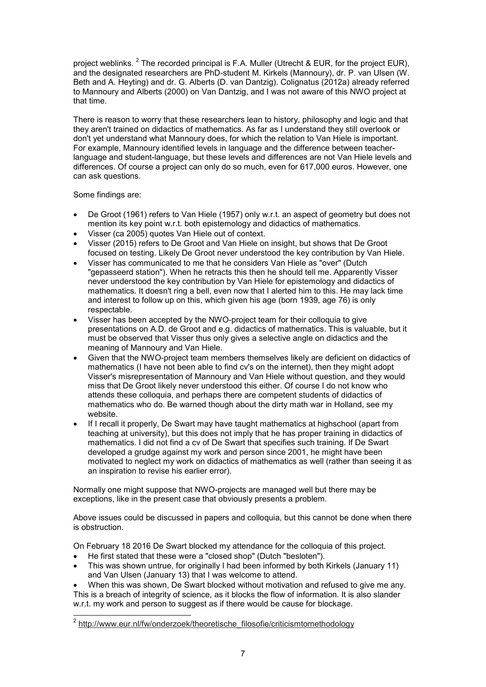project weblinks.  $^2$  The recorded principal is F.A. Muller (Utrecht & EUR, for the project EUR), and the designated researchers are PhD-student M. Kirkels (Mannoury), dr. P. van Ulsen (W. Beth and A. Heyting) and dr. G. Alberts (D. van Dantzig). Colignatus (2012a) already referred to Mannoury and Alberts (2000) on Van Dantzig, and I was not aware of this NWO project at that time.

There is reason to worry that these researchers lean to history, philosophy and logic and that they aren't trained on didactics of mathematics. As far as I understand they still overlook or don't yet understand what Mannoury does, for which the relation to Van Hiele is important. For example, Mannoury identified levels in language and the difference between teacherlanguage and student-language, but these levels and differences are not Van Hiele levels and differences. Of course a project can only do so much, even for 617,000 euros. However, one can ask questions.

Some findings are:

- De Groot (1961) refers to Van Hiele (1957) only w.r.t. an aspect of geometry but does not mention its key point w.r.t. both epistemology and didactics of mathematics.
- Visser (ca 2005) quotes Van Hiele out of context.
- Visser (2015) refers to De Groot and Van Hiele on insight, but shows that De Groot focused on testing. Likely De Groot never understood the key contribution by Van Hiele.
- Visser has communicated to me that he considers Van Hiele as "over" (Dutch "gepasseerd station"). When he retracts this then he should tell me. Apparently Visser never understood the key contribution by Van Hiele for epistemology and didactics of mathematics. It doesn't ring a bell, even now that I alerted him to this. He may lack time and interest to follow up on this, which given his age (born 1939, age 76) is only respectable.
- Visser has been accepted by the NWO-project team for their colloquia to give presentations on A.D. de Groot and e.g. didactics of mathematics. This is valuable, but it must be observed that Visser thus only gives a selective angle on didactics and the meaning of Mannoury and Van Hiele.
- Given that the NWO-project team members themselves likely are deficient on didactics of mathematics (I have not been able to find cv's on the internet), then they might adopt Visser's misrepresentation of Mannoury and Van Hiele without question, and they would miss that De Groot likely never understood this either. Of course I do not know who attends these colloquia, and perhaps there are competent students of didactics of mathematics who do. Be warned though about the dirty math war in Holland, see my website.
- If I recall it properly, De Swart may have taught mathematics at highschool (apart from teaching at university), but this does not imply that he has proper training in didactics of mathematics. I did not find a cv of De Swart that specifies such training. If De Swart developed a grudge against my work and person since 2001, he might have been motivated to neglect my work on didactics of mathematics as well (rather than seeing it as an inspiration to revise his earlier error).

Normally one might suppose that NWO-projects are managed well but there may be exceptions, like in the present case that obviously presents a problem.

Above issues could be discussed in papers and colloquia, but this cannot be done when there is obstruction.

On February 18 2016 De Swart blocked my attendance for the colloquia of this project.

- He first stated that these were a "closed shop" (Dutch "besloten").
- This was shown untrue, for originally I had been informed by both Kirkels (January 11) and Van Ulsen (January 13) that I was welcome to attend.
- When this was shown, De Swart blocked without motivation and refused to give me any. This is a breach of integrity of science, as it blocks the flow of information. It is also slander w.r.t. my work and person to suggest as if there would be cause for blockage.

l 2 http://www.eur.nl/fw/onderzoek/theoretische\_filosofie/criticismtomethodology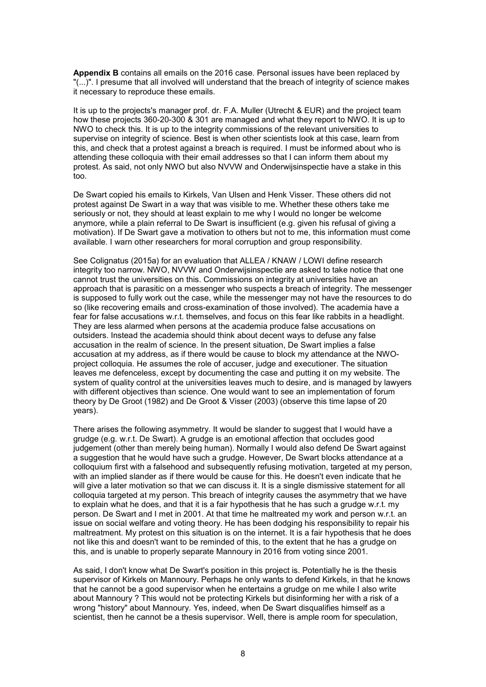**Appendix B** contains all emails on the 2016 case. Personal issues have been replaced by "(...)". I presume that all involved will understand that the breach of integrity of science makes it necessary to reproduce these emails.

It is up to the projects's manager prof. dr. F.A. Muller (Utrecht & EUR) and the project team how these projects 360-20-300 & 301 are managed and what they report to NWO. It is up to NWO to check this. It is up to the integrity commissions of the relevant universities to supervise on integrity of science. Best is when other scientists look at this case, learn from this, and check that a protest against a breach is required. I must be informed about who is attending these colloquia with their email addresses so that I can inform them about my protest. As said, not only NWO but also NVVW and Onderwijsinspectie have a stake in this too.

De Swart copied his emails to Kirkels, Van Ulsen and Henk Visser. These others did not protest against De Swart in a way that was visible to me. Whether these others take me seriously or not, they should at least explain to me why I would no longer be welcome anymore, while a plain referral to De Swart is insufficient (e.g. given his refusal of giving a motivation). If De Swart gave a motivation to others but not to me, this information must come available. I warn other researchers for moral corruption and group responsibility.

See Colignatus (2015a) for an evaluation that ALLEA / KNAW / LOWI define research integrity too narrow. NWO, NVVW and Onderwijsinspectie are asked to take notice that one cannot trust the universities on this. Commissions on integrity at universities have an approach that is parasitic on a messenger who suspects a breach of integrity. The messenger is supposed to fully work out the case, while the messenger may not have the resources to do so (like recovering emails and cross-examination of those involved). The academia have a fear for false accusations w.r.t. themselves, and focus on this fear like rabbits in a headlight. They are less alarmed when persons at the academia produce false accusations on outsiders. Instead the academia should think about decent ways to defuse any false accusation in the realm of science. In the present situation, De Swart implies a false accusation at my address, as if there would be cause to block my attendance at the NWOproject colloquia. He assumes the role of accuser, judge and executioner. The situation leaves me defenceless, except by documenting the case and putting it on my website. The system of quality control at the universities leaves much to desire, and is managed by lawyers with different objectives than science. One would want to see an implementation of forum theory by De Groot (1982) and De Groot & Visser (2003) (observe this time lapse of 20 years).

There arises the following asymmetry. It would be slander to suggest that I would have a grudge (e.g. w.r.t. De Swart). A grudge is an emotional affection that occludes good judgement (other than merely being human). Normally I would also defend De Swart against a suggestion that he would have such a grudge. However, De Swart blocks attendance at a colloquium first with a falsehood and subsequently refusing motivation, targeted at my person, with an implied slander as if there would be cause for this. He doesn't even indicate that he will give a later motivation so that we can discuss it. It is a single dismissive statement for all colloquia targeted at my person. This breach of integrity causes the asymmetry that we have to explain what he does, and that it is a fair hypothesis that he has such a grudge w.r.t. my person. De Swart and I met in 2001. At that time he maltreated my work and person w.r.t. an issue on social welfare and voting theory. He has been dodging his responsibility to repair his maltreatment. My protest on this situation is on the internet. It is a fair hypothesis that he does not like this and doesn't want to be reminded of this, to the extent that he has a grudge on this, and is unable to properly separate Mannoury in 2016 from voting since 2001.

As said, I don't know what De Swart's position in this project is. Potentially he is the thesis supervisor of Kirkels on Mannoury. Perhaps he only wants to defend Kirkels, in that he knows that he cannot be a good supervisor when he entertains a grudge on me while I also write about Mannoury ? This would not be protecting Kirkels but disinforming her with a risk of a wrong "history" about Mannoury. Yes, indeed, when De Swart disqualifies himself as a scientist, then he cannot be a thesis supervisor. Well, there is ample room for speculation,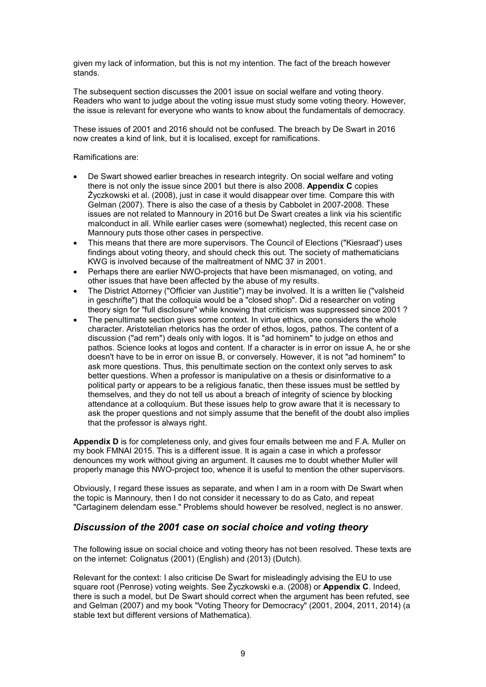given my lack of information, but this is not my intention. The fact of the breach however stands.

The subsequent section discusses the 2001 issue on social welfare and voting theory. Readers who want to judge about the voting issue must study some voting theory. However, the issue is relevant for everyone who wants to know about the fundamentals of democracy.

These issues of 2001 and 2016 should not be confused. The breach by De Swart in 2016 now creates a kind of link, but it is localised, except for ramifications.

Ramifications are:

- De Swart showed earlier breaches in research integrity. On social welfare and voting there is not only the issue since 2001 but there is also 2008. **Appendix C** copies Życzkowski et al. (2008), just in case it would disappear over time. Compare this with Gelman (2007). There is also the case of a thesis by Cabbolet in 2007-2008. These issues are not related to Mannoury in 2016 but De Swart creates a link via his scientific malconduct in all. While earlier cases were (somewhat) neglected, this recent case on Mannoury puts those other cases in perspective.
- This means that there are more supervisors. The Council of Elections ("Kiesraad') uses findings about voting theory, and should check this out. The society of mathematicians KWG is involved because of the maltreatment of NMC 37 in 2001.
- Perhaps there are earlier NWO-projects that have been mismanaged, on voting, and other issues that have been affected by the abuse of my results.
- The District Attorney ("Officier van Justitie") may be involved. It is a written lie ("valsheid in geschrifte") that the colloquia would be a "closed shop". Did a researcher on voting theory sign for "full disclosure" while knowing that criticism was suppressed since 2001 ?
- The penultimate section gives some context. In virtue ethics, one considers the whole character. Aristotelian rhetorics has the order of ethos, logos, pathos. The content of a discussion ("ad rem") deals only with logos. It is "ad hominem" to judge on ethos and pathos. Science looks at logos and content. If a character is in error on issue A, he or she doesn't have to be in error on issue B, or conversely. However, it is not "ad hominem" to ask more questions. Thus, this penultimate section on the context only serves to ask better questions. When a professor is manipulative on a thesis or disinformative to a political party or appears to be a religious fanatic, then these issues must be settled by themselves, and they do not tell us about a breach of integrity of science by blocking attendance at a colloquium. But these issues help to grow aware that it is necessary to ask the proper questions and not simply assume that the benefit of the doubt also implies that the professor is always right.

**Appendix D** is for completeness only, and gives four emails between me and F.A. Muller on my book FMNAI 2015. This is a different issue. It is again a case in which a professor denounces my work without giving an argument. It causes me to doubt whether Muller will properly manage this NWO-project too, whence it is useful to mention the other supervisors.

Obviously, I regard these issues as separate, and when I am in a room with De Swart when the topic is Mannoury, then I do not consider it necessary to do as Cato, and repeat "Cartaginem delendam esse." Problems should however be resolved, neglect is no answer.

### *Discussion of the 2001 case on social choice and voting theory*

The following issue on social choice and voting theory has not been resolved. These texts are on the internet: Colignatus (2001) (English) and (2013) (Dutch).

Relevant for the context: I also criticise De Swart for misleadingly advising the EU to use square root (Penrose) voting weights. See Życzkowski e.a. (2008) or **Appendix C**. Indeed, there is such a model, but De Swart should correct when the argument has been refuted, see and Gelman (2007) and my book "Voting Theory for Democracy" (2001, 2004, 2011, 2014) (a stable text but different versions of Mathematica).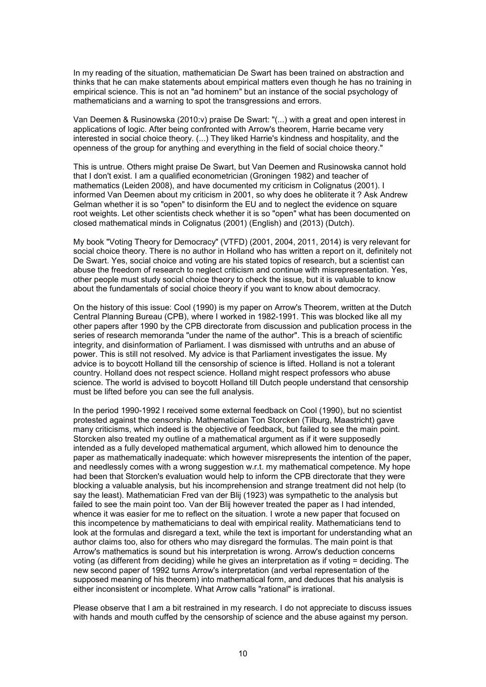In my reading of the situation, mathematician De Swart has been trained on abstraction and thinks that he can make statements about empirical matters even though he has no training in empirical science. This is not an "ad hominem" but an instance of the social psychology of mathematicians and a warning to spot the transgressions and errors.

Van Deemen & Rusinowska (2010:v) praise De Swart: "(...) with a great and open interest in applications of logic. After being confronted with Arrow's theorem, Harrie became very interested in social choice theory. (...) They liked Harrie's kindness and hospitality, and the openness of the group for anything and everything in the field of social choice theory."

This is untrue. Others might praise De Swart, but Van Deemen and Rusinowska cannot hold that I don't exist. I am a qualified econometrician (Groningen 1982) and teacher of mathematics (Leiden 2008), and have documented my criticism in Colignatus (2001). I informed Van Deemen about my criticism in 2001, so why does he obliterate it ? Ask Andrew Gelman whether it is so "open" to disinform the EU and to neglect the evidence on square root weights. Let other scientists check whether it is so "open" what has been documented on closed mathematical minds in Colignatus (2001) (English) and (2013) (Dutch).

My book "Voting Theory for Democracy" (VTFD) (2001, 2004, 2011, 2014) is very relevant for social choice theory. There is no author in Holland who has written a report on it, definitely not De Swart. Yes, social choice and voting are his stated topics of research, but a scientist can abuse the freedom of research to neglect criticism and continue with misrepresentation. Yes, other people must study social choice theory to check the issue, but it is valuable to know about the fundamentals of social choice theory if you want to know about democracy.

On the history of this issue: Cool (1990) is my paper on Arrow's Theorem, written at the Dutch Central Planning Bureau (CPB), where I worked in 1982-1991. This was blocked like all my other papers after 1990 by the CPB directorate from discussion and publication process in the series of research memoranda "under the name of the author". This is a breach of scientific integrity, and disinformation of Parliament. I was dismissed with untruths and an abuse of power. This is still not resolved. My advice is that Parliament investigates the issue. My advice is to boycott Holland till the censorship of science is lifted. Holland is not a tolerant country. Holland does not respect science. Holland might respect professors who abuse science. The world is advised to boycott Holland till Dutch people understand that censorship must be lifted before you can see the full analysis.

In the period 1990-1992 I received some external feedback on Cool (1990), but no scientist protested against the censorship. Mathematician Ton Storcken (Tilburg, Maastricht) gave many criticisms, which indeed is the objective of feedback, but failed to see the main point. Storcken also treated my outline of a mathematical argument as if it were supposedly intended as a fully developed mathematical argument, which allowed him to denounce the paper as mathematically inadequate: which however misrepresents the intention of the paper, and needlessly comes with a wrong suggestion w.r.t. my mathematical competence. My hope had been that Storcken's evaluation would help to inform the CPB directorate that they were blocking a valuable analysis, but his incomprehension and strange treatment did not help (to say the least). Mathematician Fred van der Blij (1923) was sympathetic to the analysis but failed to see the main point too. Van der Blij however treated the paper as I had intended, whence it was easier for me to reflect on the situation. I wrote a new paper that focused on this incompetence by mathematicians to deal with empirical reality. Mathematicians tend to look at the formulas and disregard a text, while the text is important for understanding what an author claims too, also for others who may disregard the formulas. The main point is that Arrow's mathematics is sound but his interpretation is wrong. Arrow's deduction concerns voting (as different from deciding) while he gives an interpretation as if voting = deciding. The new second paper of 1992 turns Arrow's interpretation (and verbal representation of the supposed meaning of his theorem) into mathematical form, and deduces that his analysis is either inconsistent or incomplete. What Arrow calls "rational" is irrational.

Please observe that I am a bit restrained in my research. I do not appreciate to discuss issues with hands and mouth cuffed by the censorship of science and the abuse against my person.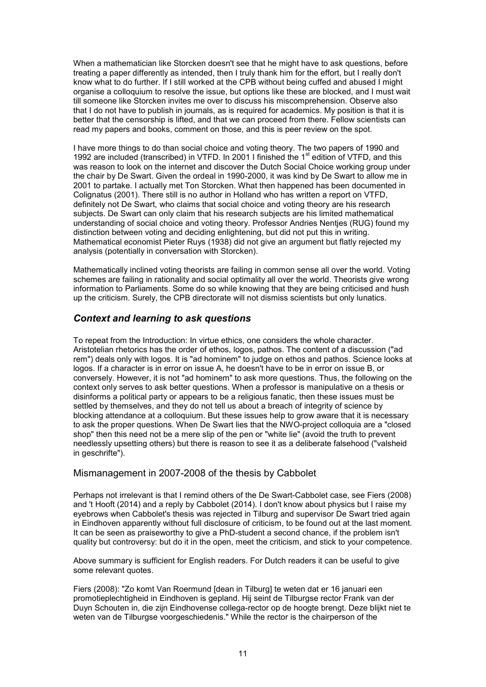When a mathematician like Storcken doesn't see that he might have to ask questions, before treating a paper differently as intended, then I truly thank him for the effort, but I really don't know what to do further. If I still worked at the CPB without being cuffed and abused I might organise a colloquium to resolve the issue, but options like these are blocked, and I must wait till someone like Storcken invites me over to discuss his miscomprehension. Observe also that I do not have to publish in journals, as is required for academics. My position is that it is better that the censorship is lifted, and that we can proceed from there. Fellow scientists can read my papers and books, comment on those, and this is peer review on the spot.

I have more things to do than social choice and voting theory. The two papers of 1990 and 1992 are included (transcribed) in VTFD. In 2001 I finished the 1<sup>st</sup> edition of VTFD, and this was reason to look on the internet and discover the Dutch Social Choice working group under the chair by De Swart. Given the ordeal in 1990-2000, it was kind by De Swart to allow me in 2001 to partake. I actually met Ton Storcken. What then happened has been documented in Colignatus (2001). There still is no author in Holland who has written a report on VTFD, definitely not De Swart, who claims that social choice and voting theory are his research subjects. De Swart can only claim that his research subjects are his limited mathematical understanding of social choice and voting theory. Professor Andries Nentjes (RUG) found my distinction between voting and deciding enlightening, but did not put this in writing. Mathematical economist Pieter Ruys (1938) did not give an argument but flatly rejected my analysis (potentially in conversation with Storcken).

Mathematically inclined voting theorists are failing in common sense all over the world. Voting schemes are failing in rationality and social optimality all over the world. Theorists give wrong information to Parliaments. Some do so while knowing that they are being criticised and hush up the criticism. Surely, the CPB directorate will not dismiss scientists but only lunatics.

### *Context and learning to ask questions*

To repeat from the Introduction: In virtue ethics, one considers the whole character. Aristotelian rhetorics has the order of ethos, logos, pathos. The content of a discussion ("ad rem") deals only with logos. It is "ad hominem" to judge on ethos and pathos. Science looks at logos. If a character is in error on issue A, he doesn't have to be in error on issue B, or conversely. However, it is not "ad hominem" to ask more questions. Thus, the following on the context only serves to ask better questions. When a professor is manipulative on a thesis or disinforms a political party or appears to be a religious fanatic, then these issues must be settled by themselves, and they do not tell us about a breach of integrity of science by blocking attendance at a colloquium. But these issues help to grow aware that it is necessary to ask the proper questions. When De Swart lies that the NWO-project colloquia are a "closed shop" then this need not be a mere slip of the pen or "white lie" (avoid the truth to prevent needlessly upsetting others) but there is reason to see it as a deliberate falsehood ("valsheid in geschrifte").

#### Mismanagement in 2007-2008 of the thesis by Cabbolet

Perhaps not irrelevant is that I remind others of the De Swart-Cabbolet case, see Fiers (2008) and 't Hooft (2014) and a reply by Cabbolet (2014). I don't know about physics but I raise my eyebrows when Cabbolet's thesis was rejected in Tilburg and supervisor De Swart tried again in Eindhoven apparently without full disclosure of criticism, to be found out at the last moment. It can be seen as praiseworthy to give a PhD-student a second chance, if the problem isn't quality but controversy: but do it in the open, meet the criticism, and stick to your competence.

Above summary is sufficient for English readers. For Dutch readers it can be useful to give some relevant quotes.

Fiers (2008): "Zo komt Van Roermund [dean in Tilburg] te weten dat er 16 januari een promotieplechtigheid in Eindhoven is gepland. Hij seint de Tilburgse rector Frank van der Duyn Schouten in, die zijn Eindhovense collega-rector op de hoogte brengt. Deze blijkt niet te weten van de Tilburgse voorgeschiedenis." While the rector is the chairperson of the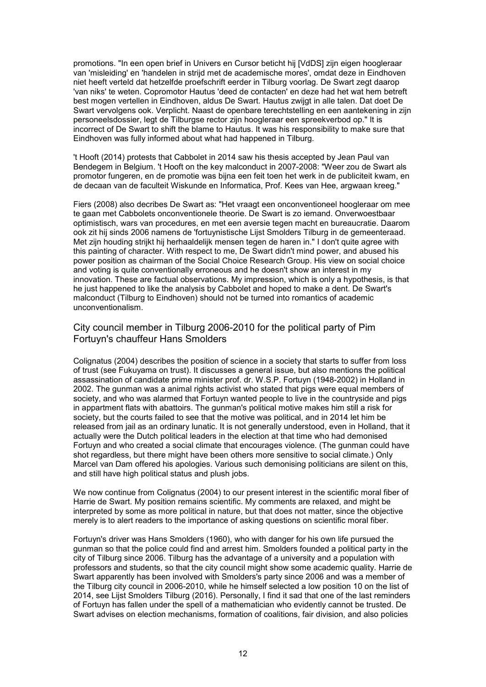promotions. "In een open brief in Univers en Cursor beticht hij [VdDS] zijn eigen hoogleraar van 'misleiding' en 'handelen in strijd met de academische mores', omdat deze in Eindhoven niet heeft verteld dat hetzelfde proefschrift eerder in Tilburg voorlag. De Swart zegt daarop 'van niks' te weten. Copromotor Hautus 'deed de contacten' en deze had het wat hem betreft best mogen vertellen in Eindhoven, aldus De Swart. Hautus zwijgt in alle talen. Dat doet De Swart vervolgens ook. Verplicht. Naast de openbare terechtstelling en een aantekening in zijn personeelsdossier, legt de Tilburgse rector zijn hoogleraar een spreekverbod op." It is incorrect of De Swart to shift the blame to Hautus. It was his responsibility to make sure that Eindhoven was fully informed about what had happened in Tilburg.

't Hooft (2014) protests that Cabbolet in 2014 saw his thesis accepted by Jean Paul van Bendegem in Belgium. 't Hooft on the key malconduct in 2007-2008: "Weer zou de Swart als promotor fungeren, en de promotie was bijna een feit toen het werk in de publiciteit kwam, en de decaan van de faculteit Wiskunde en Informatica, Prof. Kees van Hee, argwaan kreeg."

Fiers (2008) also decribes De Swart as: "Het vraagt een onconventioneel hoogleraar om mee te gaan met Cabbolets onconventionele theorie. De Swart is zo iemand. Onverwoestbaar optimistisch, wars van procedures, en met een aversie tegen macht en bureaucratie. Daarom ook zit hij sinds 2006 namens de 'fortuynistische Lijst Smolders Tilburg in de gemeenteraad. Met zijn houding strijkt hij herhaaldelijk mensen tegen de haren in." I don't quite agree with this painting of character. With respect to me, De Swart didn't mind power, and abused his power position as chairman of the Social Choice Research Group. His view on social choice and voting is quite conventionally erroneous and he doesn't show an interest in my innovation. These are factual observations. My impression, which is only a hypothesis, is that he just happened to like the analysis by Cabbolet and hoped to make a dent. De Swart's malconduct (Tilburg to Eindhoven) should not be turned into romantics of academic unconventionalism.

City council member in Tilburg 2006-2010 for the political party of Pim Fortuyn's chauffeur Hans Smolders

Colignatus (2004) describes the position of science in a society that starts to suffer from loss of trust (see Fukuyama on trust). It discusses a general issue, but also mentions the political assassination of candidate prime minister prof. dr. W.S.P. Fortuyn (1948-2002) in Holland in 2002. The gunman was a animal rights activist who stated that pigs were equal members of society, and who was alarmed that Fortuyn wanted people to live in the countryside and pigs in appartment flats with abattoirs. The gunman's political motive makes him still a risk for society, but the courts failed to see that the motive was political, and in 2014 let him be released from jail as an ordinary lunatic. It is not generally understood, even in Holland, that it actually were the Dutch political leaders in the election at that time who had demonised Fortuyn and who created a social climate that encourages violence. (The gunman could have shot regardless, but there might have been others more sensitive to social climate.) Only Marcel van Dam offered his apologies. Various such demonising politicians are silent on this, and still have high political status and plush jobs.

We now continue from Colignatus (2004) to our present interest in the scientific moral fiber of Harrie de Swart. My position remains scientific. My comments are relaxed, and might be interpreted by some as more political in nature, but that does not matter, since the objective merely is to alert readers to the importance of asking questions on scientific moral fiber.

Fortuyn's driver was Hans Smolders (1960), who with danger for his own life pursued the gunman so that the police could find and arrest him. Smolders founded a political party in the city of Tilburg since 2006. Tilburg has the advantage of a university and a population with professors and students, so that the city council might show some academic quality. Harrie de Swart apparently has been involved with Smolders's party since 2006 and was a member of the Tilburg city council in 2006-2010, while he himself selected a low position 10 on the list of 2014, see Lijst Smolders Tilburg (2016). Personally, I find it sad that one of the last reminders of Fortuyn has fallen under the spell of a mathematician who evidently cannot be trusted. De Swart advises on election mechanisms, formation of coalitions, fair division, and also policies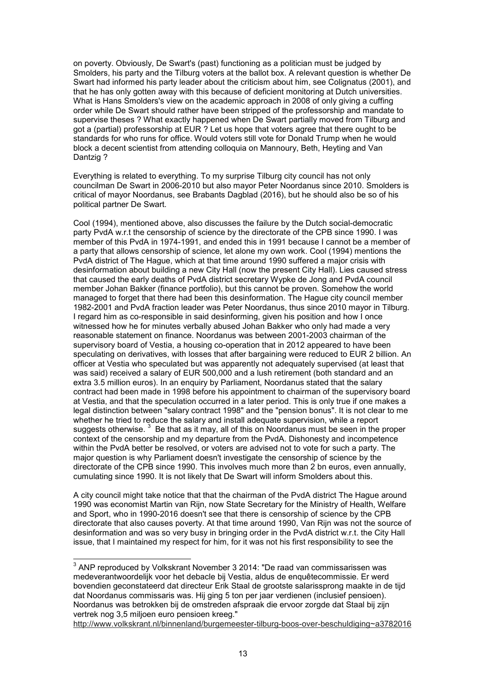on poverty. Obviously, De Swart's (past) functioning as a politician must be judged by Smolders, his party and the Tilburg voters at the ballot box. A relevant question is whether De Swart had informed his party leader about the criticism about him, see Colignatus (2001), and that he has only gotten away with this because of deficient monitoring at Dutch universities. What is Hans Smolders's view on the academic approach in 2008 of only giving a cuffing order while De Swart should rather have been stripped of the professorship and mandate to supervise theses ? What exactly happened when De Swart partially moved from Tilburg and got a (partial) professorship at EUR ? Let us hope that voters agree that there ought to be standards for who runs for office. Would voters still vote for Donald Trump when he would block a decent scientist from attending colloquia on Mannoury, Beth, Heyting and Van Dantzig ?

Everything is related to everything. To my surprise Tilburg city council has not only councilman De Swart in 2006-2010 but also mayor Peter Noordanus since 2010. Smolders is critical of mayor Noordanus, see Brabants Dagblad (2016), but he should also be so of his political partner De Swart.

Cool (1994), mentioned above, also discusses the failure by the Dutch social-democratic party PvdA w.r.t the censorship of science by the directorate of the CPB since 1990. I was member of this PvdA in 1974-1991, and ended this in 1991 because I cannot be a member of a party that allows censorship of science, let alone my own work. Cool (1994) mentions the PvdA district of The Hague, which at that time around 1990 suffered a major crisis with desinformation about building a new City Hall (now the present City Hall). Lies caused stress that caused the early deaths of PvdA district secretary Wypke de Jong and PvdA council member Johan Bakker (finance portfolio), but this cannot be proven. Somehow the world managed to forget that there had been this desinformation. The Hague city council member 1982-2001 and PvdA fraction leader was Peter Noordanus, thus since 2010 mayor in Tilburg. I regard him as co-responsible in said desinforming, given his position and how I once witnessed how he for minutes verbally abused Johan Bakker who only had made a very reasonable statement on finance. Noordanus was between 2001-2003 chairman of the supervisory board of Vestia, a housing co-operation that in 2012 appeared to have been speculating on derivatives, with losses that after bargaining were reduced to EUR 2 billion. An officer at Vestia who speculated but was apparently not adequately supervised (at least that was said) received a salary of EUR 500,000 and a lush retirement (both standard and an extra 3.5 million euros). In an enquiry by Parliament, Noordanus stated that the salary contract had been made in 1998 before his appointment to chairman of the supervisory board at Vestia, and that the speculation occurred in a later period. This is only true if one makes a legal distinction between "salary contract 1998" and the "pension bonus". It is not clear to me whether he tried to reduce the salary and install adequate supervision, while a report suggests otherwise.  $^3\,$  Be that as it may, all of this on Noordanus must be seen in the proper context of the censorship and my departure from the PvdA. Dishonesty and incompetence within the PvdA better be resolved, or voters are advised not to vote for such a party. The major question is why Parliament doesn't investigate the censorship of science by the directorate of the CPB since 1990. This involves much more than 2 bn euros, even annually, cumulating since 1990. It is not likely that De Swart will inform Smolders about this.

A city council might take notice that that the chairman of the PvdA district The Hague around 1990 was economist Martin van Rijn, now State Secretary for the Ministry of Health, Welfare and Sport, who in 1990-2016 doesn't see that there is censorship of science by the CPB directorate that also causes poverty. At that time around 1990, Van Rijn was not the source of desinformation and was so very busy in bringing order in the PvdA district w.r.t. the City Hall issue, that I maintained my respect for him, for it was not his first responsibility to see the

http://www.volkskrant.nl/binnenland/burgemeester-tilburg-boos-over-beschuldiging~a3782016

 3 ANP reproduced by Volkskrant November 3 2014: "De raad van commissarissen was medeverantwoordelijk voor het debacle bij Vestia, aldus de enquêtecommissie. Er werd bovendien geconstateerd dat directeur Erik Staal de grootste salarissprong maakte in de tijd dat Noordanus commissaris was. Hij ging 5 ton per jaar verdienen (inclusief pensioen). Noordanus was betrokken bij de omstreden afspraak die ervoor zorgde dat Staal bij zijn vertrek nog 3,5 miljoen euro pensioen kreeg."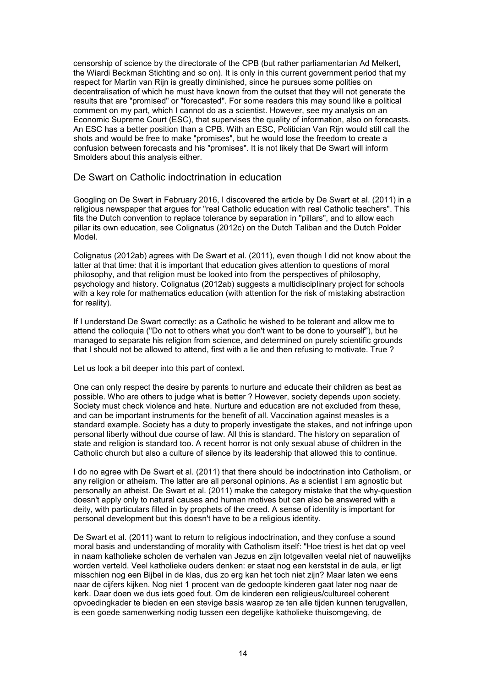censorship of science by the directorate of the CPB (but rather parliamentarian Ad Melkert, the Wiardi Beckman Stichting and so on). It is only in this current government period that my respect for Martin van Rijn is greatly diminished, since he pursues some polities on decentralisation of which he must have known from the outset that they will not generate the results that are "promised" or "forecasted". For some readers this may sound like a political comment on my part, which I cannot do as a scientist. However, see my analysis on an Economic Supreme Court (ESC), that supervises the quality of information, also on forecasts. An ESC has a better position than a CPB. With an ESC, Politician Van Rijn would still call the shots and would be free to make "promises", but he would lose the freedom to create a confusion between forecasts and his "promises". It is not likely that De Swart will inform Smolders about this analysis either.

### De Swart on Catholic indoctrination in education

Googling on De Swart in February 2016, I discovered the article by De Swart et al. (2011) in a religious newspaper that argues for "real Catholic education with real Catholic teachers". This fits the Dutch convention to replace tolerance by separation in "pillars", and to allow each pillar its own education, see Colignatus (2012c) on the Dutch Taliban and the Dutch Polder Model.

Colignatus (2012ab) agrees with De Swart et al. (2011), even though I did not know about the latter at that time: that it is important that education gives attention to questions of moral philosophy, and that religion must be looked into from the perspectives of philosophy, psychology and history. Colignatus (2012ab) suggests a multidisciplinary project for schools with a key role for mathematics education (with attention for the risk of mistaking abstraction for reality).

If I understand De Swart correctly: as a Catholic he wished to be tolerant and allow me to attend the colloquia ("Do not to others what you don't want to be done to yourself"), but he managed to separate his religion from science, and determined on purely scientific grounds that I should not be allowed to attend, first with a lie and then refusing to motivate. True ?

Let us look a bit deeper into this part of context.

One can only respect the desire by parents to nurture and educate their children as best as possible. Who are others to judge what is better ? However, society depends upon society. Society must check violence and hate. Nurture and education are not excluded from these, and can be important instruments for the benefit of all. Vaccination against measles is a standard example. Society has a duty to properly investigate the stakes, and not infringe upon personal liberty without due course of law. All this is standard. The history on separation of state and religion is standard too. A recent horror is not only sexual abuse of children in the Catholic church but also a culture of silence by its leadership that allowed this to continue.

I do no agree with De Swart et al. (2011) that there should be indoctrination into Catholism, or any religion or atheism. The latter are all personal opinions. As a scientist I am agnostic but personally an atheist. De Swart et al. (2011) make the category mistake that the why-question doesn't apply only to natural causes and human motives but can also be answered with a deity, with particulars filled in by prophets of the creed. A sense of identity is important for personal development but this doesn't have to be a religious identity.

De Swart et al. (2011) want to return to religious indoctrination, and they confuse a sound moral basis and understanding of morality with Catholism itself: "Hoe triest is het dat op veel in naam katholieke scholen de verhalen van Jezus en zijn lotgevallen veelal niet of nauwelijks worden verteld. Veel katholieke ouders denken: er staat nog een kerststal in de aula, er ligt misschien nog een Bijbel in de klas, dus zo erg kan het toch niet zijn? Maar laten we eens naar de cijfers kijken. Nog niet 1 procent van de gedoopte kinderen gaat later nog naar de kerk. Daar doen we dus iets goed fout. Om de kinderen een religieus/cultureel coherent opvoedingkader te bieden en een stevige basis waarop ze ten alle tijden kunnen terugvallen, is een goede samenwerking nodig tussen een degelijke katholieke thuisomgeving, de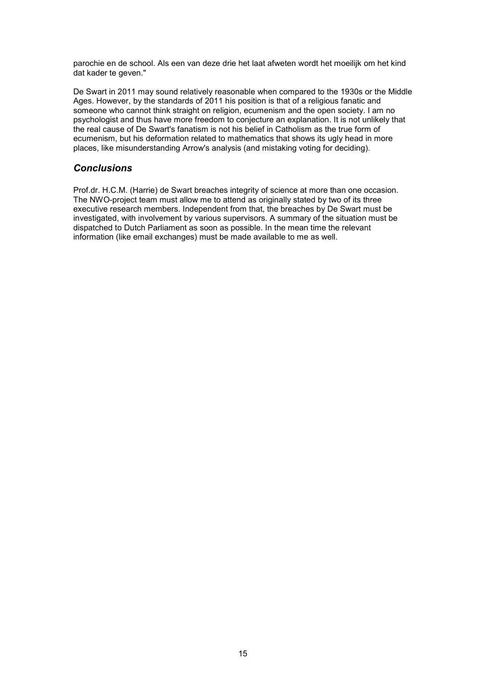parochie en de school. Als een van deze drie het laat afweten wordt het moeilijk om het kind dat kader te geven."

De Swart in 2011 may sound relatively reasonable when compared to the 1930s or the Middle Ages. However, by the standards of 2011 his position is that of a religious fanatic and someone who cannot think straight on religion, ecumenism and the open society. I am no psychologist and thus have more freedom to conjecture an explanation. It is not unlikely that the real cause of De Swart's fanatism is not his belief in Catholism as the true form of ecumenism, but his deformation related to mathematics that shows its ugly head in more places, like misunderstanding Arrow's analysis (and mistaking voting for deciding).

### *Conclusions*

Prof.dr. H.C.M. (Harrie) de Swart breaches integrity of science at more than one occasion. The NWO-project team must allow me to attend as originally stated by two of its three executive research members. Independent from that, the breaches by De Swart must be investigated, with involvement by various supervisors. A summary of the situation must be dispatched to Dutch Parliament as soon as possible. In the mean time the relevant information (like email exchanges) must be made available to me as well.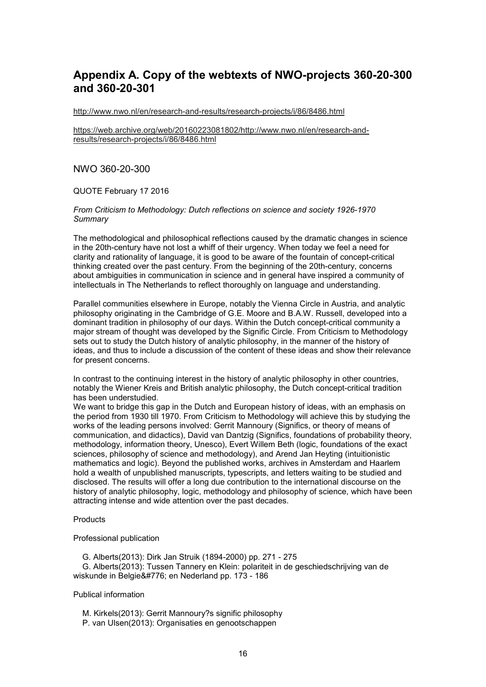# **Appendix A. Copy of the webtexts of NWO-projects 360-20-300 and 360-20-301**

http://www.nwo.nl/en/research-and-results/research-projects/i/86/8486.html

https://web.archive.org/web/20160223081802/http://www.nwo.nl/en/research-andresults/research-projects/i/86/8486.html

### NWO 360-20-300

QUOTE February 17 2016

*From Criticism to Methodology: Dutch reflections on science and society 1926-1970 Summary*

The methodological and philosophical reflections caused by the dramatic changes in science in the 20th-century have not lost a whiff of their urgency. When today we feel a need for clarity and rationality of language, it is good to be aware of the fountain of concept-critical thinking created over the past century. From the beginning of the 20th-century, concerns about ambiguities in communication in science and in general have inspired a community of intellectuals in The Netherlands to reflect thoroughly on language and understanding.

Parallel communities elsewhere in Europe, notably the Vienna Circle in Austria, and analytic philosophy originating in the Cambridge of G.E. Moore and B.A.W. Russell, developed into a dominant tradition in philosophy of our days. Within the Dutch concept-critical community a major stream of thought was developed by the Signific Circle. From Criticism to Methodology sets out to study the Dutch history of analytic philosophy, in the manner of the history of ideas, and thus to include a discussion of the content of these ideas and show their relevance for present concerns.

In contrast to the continuing interest in the history of analytic philosophy in other countries, notably the Wiener Kreis and British analytic philosophy, the Dutch concept-critical tradition has been understudied.

We want to bridge this gap in the Dutch and European history of ideas, with an emphasis on the period from 1930 till 1970. From Criticism to Methodology will achieve this by studying the works of the leading persons involved: Gerrit Mannoury (Significs, or theory of means of communication, and didactics), David van Dantzig (Significs, foundations of probability theory, methodology, information theory, Unesco), Evert Willem Beth (logic, foundations of the exact sciences, philosophy of science and methodology), and Arend Jan Heyting (intuitionistic mathematics and logic). Beyond the published works, archives in Amsterdam and Haarlem hold a wealth of unpublished manuscripts, typescripts, and letters waiting to be studied and disclosed. The results will offer a long due contribution to the international discourse on the history of analytic philosophy, logic, methodology and philosophy of science, which have been attracting intense and wide attention over the past decades.

#### **Products**

#### Professional publication

 G. Alberts(2013): Dirk Jan Struik (1894-2000) pp. 271 - 275 G. Alberts(2013): Tussen Tannery en Klein: polariteit in de geschiedschrijving van de wiskunde in Belgie ̈ en Nederland pp. 173 - 186

#### Publical information

 M. Kirkels(2013): Gerrit Mannoury?s signific philosophy P. van Ulsen(2013): Organisaties en genootschappen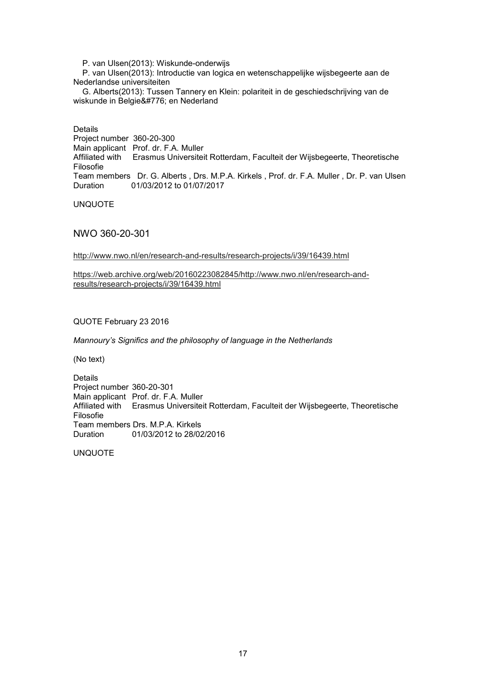P. van Ulsen(2013): Wiskunde-onderwijs

 P. van Ulsen(2013): Introductie van logica en wetenschappelijke wijsbegeerte aan de Nederlandse universiteiten

 G. Alberts(2013): Tussen Tannery en Klein: polariteit in de geschiedschrijving van de wiskunde in Belgie ̈ en Nederland

Details

Project number 360-20-300 Main applicant Prof. dr. F.A. Muller Affiliated with Erasmus Universiteit Rotterdam, Faculteit der Wijsbegeerte, Theoretische Filosofie Team members Dr. G. Alberts , Drs. M.P.A. Kirkels , Prof. dr. F.A. Muller , Dr. P. van Ulsen Duration 01/03/2012 to 01/07/2017

UNQUOTE

NWO 360-20-301

http://www.nwo.nl/en/research-and-results/research-projects/i/39/16439.html

https://web.archive.org/web/20160223082845/http://www.nwo.nl/en/research-andresults/research-projects/i/39/16439.html

QUOTE February 23 2016

*Mannoury's Significs and the philosophy of language in the Netherlands*

(No text)

Details Project number 360-20-301 Main applicant Prof. dr. F.A. Muller Affiliated with Erasmus Universiteit Rotterdam, Faculteit der Wijsbegeerte, Theoretische Filosofie Team members Drs. M.P.A. Kirkels<br>Duration 01/03/2012 to 28/02 01/03/2012 to 28/02/2016

UNQUOTE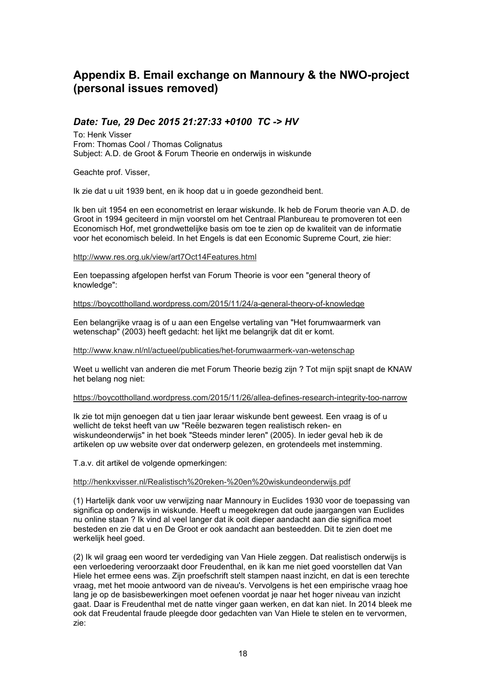# **Appendix B. Email exchange on Mannoury & the NWO-project (personal issues removed)**

## *Date: Tue, 29 Dec 2015 21:27:33 +0100 TC -> HV*

To: Henk Visser From: Thomas Cool / Thomas Colignatus Subject: A.D. de Groot & Forum Theorie en onderwijs in wiskunde

Geachte prof. Visser,

Ik zie dat u uit 1939 bent, en ik hoop dat u in goede gezondheid bent.

Ik ben uit 1954 en een econometrist en leraar wiskunde. Ik heb de Forum theorie van A.D. de Groot in 1994 geciteerd in mijn voorstel om het Centraal Planbureau te promoveren tot een Economisch Hof, met grondwettelijke basis om toe te zien op de kwaliteit van de informatie voor het economisch beleid. In het Engels is dat een Economic Supreme Court, zie hier:

http://www.res.org.uk/view/art7Oct14Features.html

Een toepassing afgelopen herfst van Forum Theorie is voor een "general theory of knowledge":

https://boycottholland.wordpress.com/2015/11/24/a-general-theory-of-knowledge

Een belangrijke vraag is of u aan een Engelse vertaling van "Het forumwaarmerk van wetenschap" (2003) heeft gedacht: het lijkt me belangrijk dat dit er komt.

http://www.knaw.nl/nl/actueel/publicaties/het-forumwaarmerk-van-wetenschap

Weet u wellicht van anderen die met Forum Theorie bezig zijn ? Tot mijn spijt snapt de KNAW het belang nog niet:

#### https://boycottholland.wordpress.com/2015/11/26/allea-defines-research-integrity-too-narrow

Ik zie tot mijn genoegen dat u tien jaar leraar wiskunde bent geweest. Een vraag is of u wellicht de tekst heeft van uw "Reële bezwaren tegen realistisch reken- en wiskundeonderwijs" in het boek "Steeds minder leren" (2005). In ieder geval heb ik de artikelen op uw website over dat onderwerp gelezen, en grotendeels met instemming.

T.a.v. dit artikel de volgende opmerkingen:

#### http://henkxvisser.nl/Realistisch%20reken-%20en%20wiskundeonderwijs.pdf

(1) Hartelijk dank voor uw verwijzing naar Mannoury in Euclides 1930 voor de toepassing van significa op onderwijs in wiskunde. Heeft u meegekregen dat oude jaargangen van Euclides nu online staan ? Ik vind al veel langer dat ik ooit dieper aandacht aan die significa moet besteden en zie dat u en De Groot er ook aandacht aan besteedden. Dit te zien doet me werkelijk heel goed.

(2) Ik wil graag een woord ter verdediging van Van Hiele zeggen. Dat realistisch onderwijs is een verloedering veroorzaakt door Freudenthal, en ik kan me niet goed voorstellen dat Van Hiele het ermee eens was. Zijn proefschrift stelt stampen naast inzicht, en dat is een terechte vraag, met het mooie antwoord van de niveau's. Vervolgens is het een empirische vraag hoe lang je op de basisbewerkingen moet oefenen voordat je naar het hoger niveau van inzicht gaat. Daar is Freudenthal met de natte vinger gaan werken, en dat kan niet. In 2014 bleek me ook dat Freudental fraude pleegde door gedachten van Van Hiele te stelen en te vervormen, zie: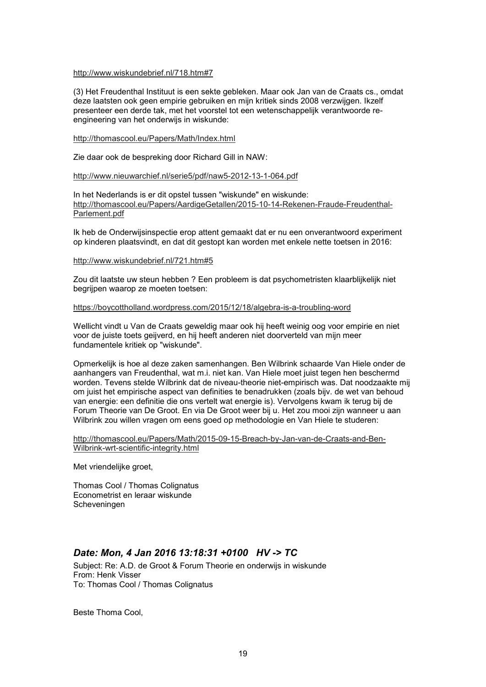#### http://www.wiskundebrief.nl/718.htm#7

(3) Het Freudenthal Instituut is een sekte gebleken. Maar ook Jan van de Craats cs., omdat deze laatsten ook geen empirie gebruiken en mijn kritiek sinds 2008 verzwijgen. Ikzelf presenteer een derde tak, met het voorstel tot een wetenschappelijk verantwoorde reengineering van het onderwijs in wiskunde:

#### http://thomascool.eu/Papers/Math/Index.html

Zie daar ook de bespreking door Richard Gill in NAW:

#### http://www.nieuwarchief.nl/serie5/pdf/naw5-2012-13-1-064.pdf

In het Nederlands is er dit opstel tussen "wiskunde" en wiskunde: http://thomascool.eu/Papers/AardigeGetallen/2015-10-14-Rekenen-Fraude-Freudenthal-Parlement.pdf

Ik heb de Onderwijsinspectie erop attent gemaakt dat er nu een onverantwoord experiment op kinderen plaatsvindt, en dat dit gestopt kan worden met enkele nette toetsen in 2016:

#### http://www.wiskundebrief.nl/721.htm#5

Zou dit laatste uw steun hebben ? Een probleem is dat psychometristen klaarblijkelijk niet begrijpen waarop ze moeten toetsen:

#### https://boycottholland.wordpress.com/2015/12/18/algebra-is-a-troubling-word

Wellicht vindt u Van de Craats geweldig maar ook hij heeft weinig oog voor empirie en niet voor de juiste toets geijverd, en hij heeft anderen niet doorverteld van mijn meer fundamentele kritiek op "wiskunde".

Opmerkelijk is hoe al deze zaken samenhangen. Ben Wilbrink schaarde Van Hiele onder de aanhangers van Freudenthal, wat m.i. niet kan. Van Hiele moet juist tegen hen beschermd worden. Tevens stelde Wilbrink dat de niveau-theorie niet-empirisch was. Dat noodzaakte mij om juist het empirische aspect van definities te benadrukken (zoals bijv. de wet van behoud van energie: een definitie die ons vertelt wat energie is). Vervolgens kwam ik terug bij de Forum Theorie van De Groot. En via De Groot weer bij u. Het zou mooi zijn wanneer u aan Wilbrink zou willen vragen om eens goed op methodologie en Van Hiele te studeren:

http://thomascool.eu/Papers/Math/2015-09-15-Breach-by-Jan-van-de-Craats-and-Ben-Wilbrink-wrt-scientific-integrity.html

Met vriendelijke groet,

Thomas Cool / Thomas Colignatus Econometrist en leraar wiskunde Scheveningen

### *Date: Mon, 4 Jan 2016 13:18:31 +0100 HV -> TC*

Subject: Re: A.D. de Groot & Forum Theorie en onderwijs in wiskunde From: Henk Visser To: Thomas Cool / Thomas Colignatus

Beste Thoma Cool,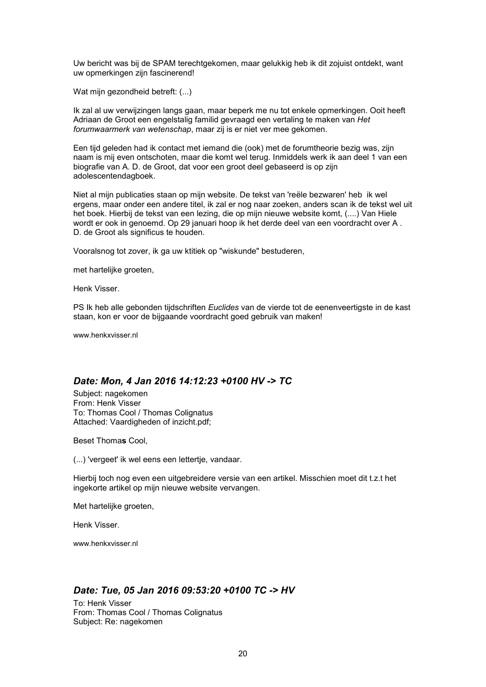Uw bericht was bij de SPAM terechtgekomen, maar gelukkig heb ik dit zojuist ontdekt, want uw opmerkingen zijn fascinerend!

Wat mijn gezondheid betreft: (...)

Ik zal al uw verwijzingen langs gaan, maar beperk me nu tot enkele opmerkingen. Ooit heeft Adriaan de Groot een engelstalig familid gevraagd een vertaling te maken van *Het forumwaarmerk van wetenschap*, maar zij is er niet ver mee gekomen.

Een tijd geleden had ik contact met iemand die (ook) met de forumtheorie bezig was, zijn naam is mij even ontschoten, maar die komt wel terug. Inmiddels werk ik aan deel 1 van een biografie van A. D. de Groot, dat voor een groot deel gebaseerd is op zijn adolescentendagboek.

Niet al mijn publicaties staan op mijn website. De tekst van 'reële bezwaren' heb ik wel ergens, maar onder een andere titel, ik zal er nog naar zoeken, anders scan ik de tekst wel uit het boek. Hierbij de tekst van een lezing, die op mijn nieuwe website komt, (....) Van Hiele wordt er ook in genoemd. Op 29 januari hoop ik het derde deel van een voordracht over A . D. de Groot als significus te houden.

Vooralsnog tot zover, ik ga uw ktitiek op "wiskunde" bestuderen,

met hartelijke groeten,

Henk Visser.

PS Ik heb alle gebonden tijdschriften *Euclides* van de vierde tot de eenenveertigste in de kast staan, kon er voor de bijgaande voordracht goed gebruik van maken!

www.henkxvisser.nl

# *Date: Mon, 4 Jan 2016 14:12:23 +0100 HV -> TC*

Subject: nagekomen From: Henk Visser To: Thomas Cool / Thomas Colignatus Attached: Vaardigheden of inzicht.pdf;

Beset Thoma**s** Cool,

(...) 'vergeet' ik wel eens een lettertje, vandaar.

Hierbij toch nog even een uitgebreidere versie van een artikel. Misschien moet dit t.z.t het ingekorte artikel op mijn nieuwe website vervangen.

Met hartelijke groeten,

Henk Visser.

www.henkxvisser.nl

#### *Date: Tue, 05 Jan 2016 09:53:20 +0100 TC -> HV*

To: Henk Visser From: Thomas Cool / Thomas Colignatus Subject: Re: nagekomen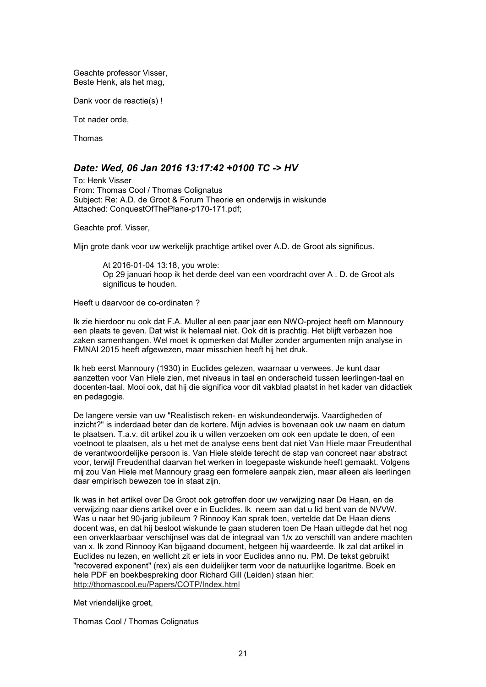Geachte professor Visser, Beste Henk, als het mag,

Dank voor de reactie(s) !

Tot nader orde,

Thomas

### *Date: Wed, 06 Jan 2016 13:17:42 +0100 TC -> HV*

To: Henk Visser From: Thomas Cool / Thomas Colignatus Subject: Re: A.D. de Groot & Forum Theorie en onderwijs in wiskunde Attached: ConquestOfThePlane-p170-171.pdf;

Geachte prof. Visser,

Mijn grote dank voor uw werkelijk prachtige artikel over A.D. de Groot als significus.

At 2016-01-04 13:18, you wrote: Op 29 januari hoop ik het derde deel van een voordracht over A . D. de Groot als significus te houden.

Heeft u daarvoor de co-ordinaten ?

Ik zie hierdoor nu ook dat F.A. Muller al een paar jaar een NWO-project heeft om Mannoury een plaats te geven. Dat wist ik helemaal niet. Ook dit is prachtig. Het blijft verbazen hoe zaken samenhangen. Wel moet ik opmerken dat Muller zonder argumenten mijn analyse in FMNAI 2015 heeft afgewezen, maar misschien heeft hij het druk.

Ik heb eerst Mannoury (1930) in Euclides gelezen, waarnaar u verwees. Je kunt daar aanzetten voor Van Hiele zien, met niveaus in taal en onderscheid tussen leerlingen-taal en docenten-taal. Mooi ook, dat hij die significa voor dit vakblad plaatst in het kader van didactiek en pedagogie.

De langere versie van uw "Realistisch reken- en wiskundeonderwijs. Vaardigheden of inzicht?" is inderdaad beter dan de kortere. Mijn advies is bovenaan ook uw naam en datum te plaatsen. T.a.v. dit artikel zou ik u willen verzoeken om ook een update te doen, of een voetnoot te plaatsen, als u het met de analyse eens bent dat niet Van Hiele maar Freudenthal de verantwoordelijke persoon is. Van Hiele stelde terecht de stap van concreet naar abstract voor, terwijl Freudenthal daarvan het werken in toegepaste wiskunde heeft gemaakt. Volgens mij zou Van Hiele met Mannoury graag een formelere aanpak zien, maar alleen als leerlingen daar empirisch bewezen toe in staat zijn.

Ik was in het artikel over De Groot ook getroffen door uw verwijzing naar De Haan, en de verwijzing naar diens artikel over e in Euclides. Ik neem aan dat u lid bent van de NVVW. Was u naar het 90-jarig jubileum ? Rinnooy Kan sprak toen, vertelde dat De Haan diens docent was, en dat hij besloot wiskunde te gaan studeren toen De Haan uitlegde dat het nog een onverklaarbaar verschijnsel was dat de integraal van 1/x zo verschilt van andere machten van x. Ik zond Rinnooy Kan bijgaand document, hetgeen hij waardeerde. Ik zal dat artikel in Euclides nu lezen, en wellicht zit er iets in voor Euclides anno nu. PM. De tekst gebruikt "recovered exponent" (rex) als een duidelijker term voor de natuurlijke logaritme. Boek en hele PDF en boekbespreking door Richard Gill (Leiden) staan hier: http://thomascool.eu/Papers/COTP/Index.html

Met vriendelijke groet,

Thomas Cool / Thomas Colignatus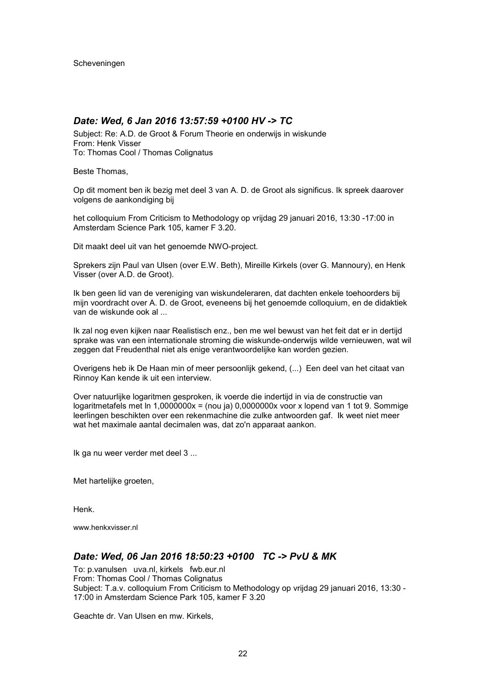### *Date: Wed, 6 Jan 2016 13:57:59 +0100 HV -> TC*

Subject: Re: A.D. de Groot & Forum Theorie en onderwijs in wiskunde From: Henk Visser To: Thomas Cool / Thomas Colignatus

Beste Thomas,

Op dit moment ben ik bezig met deel 3 van A. D. de Groot als significus. Ik spreek daarover volgens de aankondiging bij

het colloquium From Criticism to Methodology op vrijdag 29 januari 2016, 13:30 -17:00 in Amsterdam Science Park 105, kamer F 3.20.

Dit maakt deel uit van het genoemde NWO-project.

Sprekers zijn Paul van Ulsen (over E.W. Beth), Mireille Kirkels (over G. Mannoury), en Henk Visser (over A.D. de Groot).

Ik ben geen lid van de vereniging van wiskundeleraren, dat dachten enkele toehoorders bij mijn voordracht over A. D. de Groot, eveneens bij het genoemde colloquium, en de didaktiek van de wiskunde ook al ...

Ik zal nog even kijken naar Realistisch enz., ben me wel bewust van het feit dat er in dertijd sprake was van een internationale stroming die wiskunde-onderwijs wilde vernieuwen, wat wil zeggen dat Freudenthal niet als enige verantwoordelijke kan worden gezien.

Overigens heb ik De Haan min of meer persoonlijk gekend, (...) Een deel van het citaat van Rinnoy Kan kende ik uit een interview.

Over natuurlijke logaritmen gesproken, ik voerde die indertijd in via de constructie van logaritmetafels met ln 1,0000000x = (nou ja) 0,0000000x voor x lopend van 1 tot 9. Sommige leerlingen beschikten over een rekenmachine die zulke antwoorden gaf. Ik weet niet meer wat het maximale aantal decimalen was, dat zo'n apparaat aankon.

Ik ga nu weer verder met deel 3 ...

Met hartelijke groeten,

Henk.

www.henkxvisser.nl

#### *Date: Wed, 06 Jan 2016 18:50:23 +0100 TC -> PvU & MK*

To: p.vanulsen uva.nl, kirkels fwb.eur.nl From: Thomas Cool / Thomas Colignatus Subject: T.a.v. colloquium From Criticism to Methodology op vrijdag 29 januari 2016, 13:30 - 17:00 in Amsterdam Science Park 105, kamer F 3.20

Geachte dr. Van Ulsen en mw. Kirkels,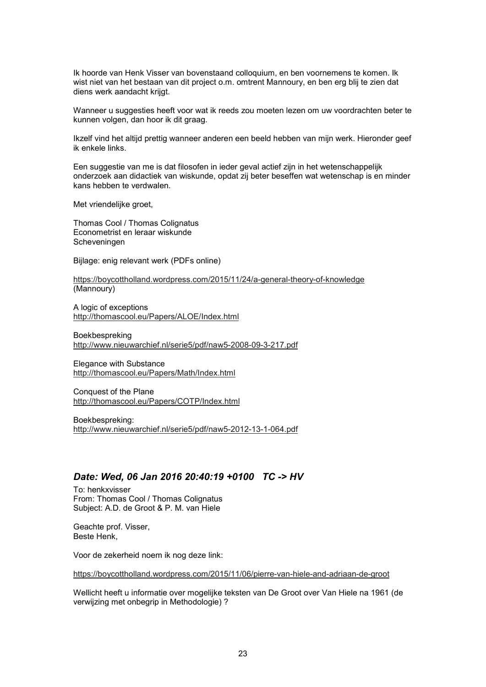Ik hoorde van Henk Visser van bovenstaand colloquium, en ben voornemens te komen. Ik wist niet van het bestaan van dit project o.m. omtrent Mannoury, en ben erg blij te zien dat diens werk aandacht krijgt.

Wanneer u suggesties heeft voor wat ik reeds zou moeten lezen om uw voordrachten beter te kunnen volgen, dan hoor ik dit graag.

Ikzelf vind het altijd prettig wanneer anderen een beeld hebben van mijn werk. Hieronder geef ik enkele links.

Een suggestie van me is dat filosofen in ieder geval actief zijn in het wetenschappelijk onderzoek aan didactiek van wiskunde, opdat zij beter beseffen wat wetenschap is en minder kans hebben te verdwalen.

Met vriendelijke groet,

Thomas Cool / Thomas Colignatus Econometrist en leraar wiskunde Scheveningen

Bijlage: enig relevant werk (PDFs online)

https://boycottholland.wordpress.com/2015/11/24/a-general-theory-of-knowledge (Mannoury)

A logic of exceptions http://thomascool.eu/Papers/ALOE/Index.html

Boekbespreking http://www.nieuwarchief.nl/serie5/pdf/naw5-2008-09-3-217.pdf

Elegance with Substance http://thomascool.eu/Papers/Math/Index.html

Conquest of the Plane http://thomascool.eu/Papers/COTP/Index.html

Boekbespreking: http://www.nieuwarchief.nl/serie5/pdf/naw5-2012-13-1-064.pdf

### *Date: Wed, 06 Jan 2016 20:40:19 +0100 TC -> HV*

To: henkxvisser From: Thomas Cool / Thomas Colignatus Subject: A.D. de Groot & P. M. van Hiele

Geachte prof. Visser, Beste Henk,

Voor de zekerheid noem ik nog deze link:

https://boycottholland.wordpress.com/2015/11/06/pierre-van-hiele-and-adriaan-de-groot

Wellicht heeft u informatie over mogelijke teksten van De Groot over Van Hiele na 1961 (de verwijzing met onbegrip in Methodologie) ?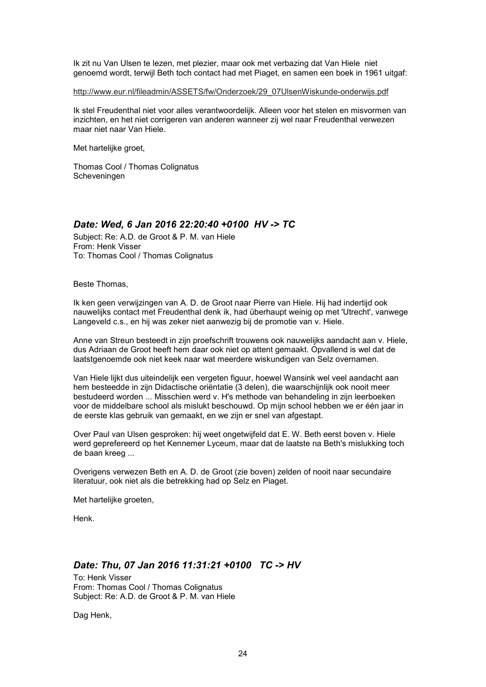Ik zit nu Van Ulsen te lezen, met plezier, maar ook met verbazing dat Van Hiele niet genoemd wordt, terwijl Beth toch contact had met Piaget, en samen een boek in 1961 uitgaf:

http://www.eur.nl/fileadmin/ASSETS/fw/Onderzoek/29\_07UlsenWiskunde-onderwijs.pdf

Ik stel Freudenthal niet voor alles verantwoordelijk. Alleen voor het stelen en misvormen van inzichten, en het niet corrigeren van anderen wanneer zij wel naar Freudenthal verwezen maar niet naar Van Hiele.

Met hartelijke groet,

Thomas Cool / Thomas Colignatus Scheveningen

# *Date: Wed, 6 Jan 2016 22:20:40 +0100 HV -> TC*

Subject: Re: A.D. de Groot & P. M. van Hiele From: Henk Visser To: Thomas Cool / Thomas Colignatus

Beste Thomas,

Ik ken geen verwijzingen van A. D. de Groot naar Pierre van Hiele. Hij had indertijd ook nauwelijks contact met Freudenthal denk ik, had überhaupt weinig op met 'Utrecht', vanwege Langeveld c.s., en hij was zeker niet aanwezig bij de promotie van v. Hiele.

Anne van Streun besteedt in zijn proefschrift trouwens ook nauwelijks aandacht aan v. Hiele, dus Adriaan de Groot heeft hem daar ook niet op attent gemaakt. Opvallend is wel dat de laatstgenoemde ook niet keek naar wat meerdere wiskundigen van Selz overnamen.

Van Hiele lijkt dus uiteindelijk een vergeten figuur, hoewel Wansink wel veel aandacht aan hem besteedde in zijn Didactische oriëntatie (3 delen), die waarschijnlijk ook nooit meer bestudeerd worden ... Misschien werd v. H's methode van behandeling in zijn leerboeken voor de middelbare school als mislukt beschouwd. Op mijn school hebben we er één jaar in de eerste klas gebruik van gemaakt, en we zijn er snel van afgestapt.

Over Paul van Ulsen gesproken: hij weet ongetwijfeld dat E. W. Beth eerst boven v. Hiele werd geprefereerd op het Kennemer Lyceum, maar dat de laatste na Beth's mislukking toch de baan kreeg ...

Overigens verwezen Beth en A. D. de Groot (zie boven) zelden of nooit naar secundaire literatuur, ook niet als die betrekking had op Selz en Piaget.

Met hartelijke groeten,

Henk.

### *Date: Thu, 07 Jan 2016 11:31:21 +0100 TC -> HV*

To: Henk Visser From: Thomas Cool / Thomas Colignatus Subject: Re: A.D. de Groot & P. M. van Hiele

Dag Henk,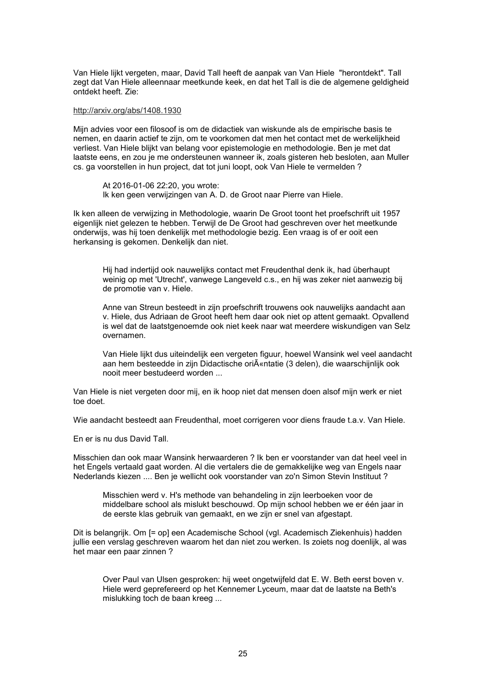Van Hiele lijkt vergeten, maar, David Tall heeft de aanpak van Van Hiele "herontdekt". Tall zegt dat Van Hiele alleennaar meetkunde keek, en dat het Tall is die de algemene geldigheid ontdekt heeft. Zie:

#### http://arxiv.org/abs/1408.1930

Mijn advies voor een filosoof is om de didactiek van wiskunde als de empirische basis te nemen, en daarin actief te zijn, om te voorkomen dat men het contact met de werkelijkheid verliest. Van Hiele blijkt van belang voor epistemologie en methodologie. Ben je met dat laatste eens, en zou je me ondersteunen wanneer ik, zoals gisteren heb besloten, aan Muller cs. ga voorstellen in hun project, dat tot juni loopt, ook Van Hiele te vermelden ?

At 2016-01-06 22:20, you wrote: Ik ken geen verwijzingen van A. D. de Groot naar Pierre van Hiele.

Ik ken alleen de verwijzing in Methodologie, waarin De Groot toont het proefschrift uit 1957 eigenlijk niet gelezen te hebben. Terwijl de De Groot had geschreven over het meetkunde onderwijs, was hij toen denkelijk met methodologie bezig. Een vraag is of er ooit een herkansing is gekomen. Denkelijk dan niet.

Hij had indertijd ook nauwelijks contact met Freudenthal denk ik, had überhaupt weinig op met 'Utrecht', vanwege Langeveld c.s., en hij was zeker niet aanwezig bij de promotie van v. Hiele.

Anne van Streun besteedt in zijn proefschrift trouwens ook nauwelijks aandacht aan v. Hiele, dus Adriaan de Groot heeft hem daar ook niet op attent gemaakt. Opvallend is wel dat de laatstgenoemde ook niet keek naar wat meerdere wiskundigen van Selz overnamen.

Van Hiele lijkt dus uiteindelijk een vergeten figuur, hoewel Wansink wel veel aandacht aan hem besteedde in zijn Didactische oriīntatie (3 delen), die waarschijnlijk ook nooit meer bestudeerd worden ...

Van Hiele is niet vergeten door mij, en ik hoop niet dat mensen doen alsof mijn werk er niet toe doet.

Wie aandacht besteedt aan Freudenthal, moet corrigeren voor diens fraude t.a.v. Van Hiele.

En er is nu dus David Tall.

Misschien dan ook maar Wansink herwaarderen ? Ik ben er voorstander van dat heel veel in het Engels vertaald gaat worden. Al die vertalers die de gemakkelijke weg van Engels naar Nederlands kiezen .... Ben je wellicht ook voorstander van zo'n Simon Stevin Instituut ?

Misschien werd v. H's methode van behandeling in zijn leerboeken voor de middelbare school als mislukt beschouwd. Op mijn school hebben we er één jaar in de eerste klas gebruik van gemaakt, en we zijn er snel van afgestapt.

Dit is belangrijk. Om [= op] een Academische School (vgl. Academisch Ziekenhuis) hadden jullie een verslag geschreven waarom het dan niet zou werken. Is zoiets nog doenlijk, al was het maar een paar zinnen ?

Over Paul van Ulsen gesproken: hij weet ongetwijfeld dat E. W. Beth eerst boven v. Hiele werd geprefereerd op het Kennemer Lyceum, maar dat de laatste na Beth's mislukking toch de baan kreeg ...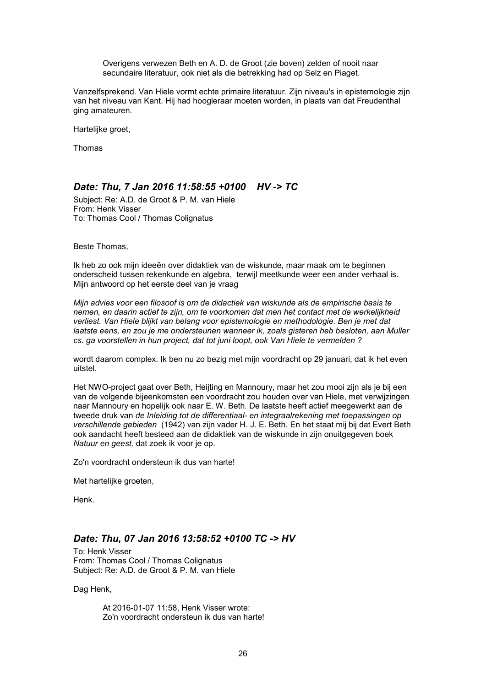Overigens verwezen Beth en A. D. de Groot (zie boven) zelden of nooit naar secundaire literatuur, ook niet als die betrekking had op Selz en Piaget.

Vanzelfsprekend. Van Hiele vormt echte primaire literatuur. Zijn niveau's in epistemologie zijn van het niveau van Kant. Hij had hoogleraar moeten worden, in plaats van dat Freudenthal ging amateuren.

Hartelijke groet,

Thomas

# *Date: Thu, 7 Jan 2016 11:58:55 +0100 HV -> TC*

Subject: Re: A.D. de Groot & P. M. van Hiele From: Henk Visser To: Thomas Cool / Thomas Colignatus

Beste Thomas,

Ik heb zo ook mijn ideeën over didaktiek van de wiskunde, maar maak om te beginnen onderscheid tussen rekenkunde en algebra, terwijl meetkunde weer een ander verhaal is. Mijn antwoord op het eerste deel van je vraag

*Mijn advies voor een filosoof is om de didactiek van wiskunde als de empirische basis te nemen, en daarin actief te zijn, om te voorkomen dat men het contact met de werkelijkheid verliest. Van Hiele blijkt van belang voor epistemologie en methodologie. Ben je met dat laatste eens, en zou je me ondersteunen wanneer ik, zoals gisteren heb besloten, aan Muller cs. ga voorstellen in hun project, dat tot juni loopt, ook Van Hiele te vermelden ?*

wordt daarom complex. Ik ben nu zo bezig met mijn voordracht op 29 januari, dat ik het even uitstel.

Het NWO-project gaat over Beth, Heijting en Mannoury, maar het zou mooi zijn als je bij een van de volgende bijeenkomsten een voordracht zou houden over van Hiele, met verwijzingen naar Mannoury en hopelijk ook naar E. W. Beth. De laatste heeft actief meegewerkt aan de tweede druk van *de Inleiding tot de differentiaal- en integraalrekening met toepassingen op verschillende gebieden* (1942) van zijn vader H. J. E. Beth. En het staat mij bij dat Evert Beth ook aandacht heeft besteed aan de didaktiek van de wiskunde in zijn onuitgegeven boek *Natuur en geest,* dat zoek ik voor je op.

Zo'n voordracht ondersteun ik dus van harte!

Met hartelijke groeten,

Henk.

### *Date: Thu, 07 Jan 2016 13:58:52 +0100 TC -> HV*

To: Henk Visser From: Thomas Cool / Thomas Colignatus Subject: Re: A.D. de Groot & P. M. van Hiele

Dag Henk,

At 2016-01-07 11:58, Henk Visser wrote: Zo'n voordracht ondersteun ik dus van harte!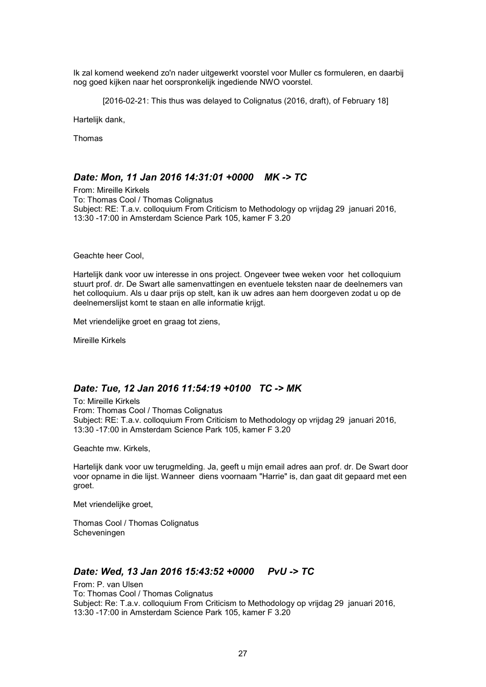Ik zal komend weekend zo'n nader uitgewerkt voorstel voor Muller cs formuleren, en daarbij nog goed kijken naar het oorspronkelijk ingediende NWO voorstel.

[2016-02-21: This thus was delayed to Colignatus (2016, draft), of February 18]

Hartelijk dank,

Thomas

### *Date: Mon, 11 Jan 2016 14:31:01 +0000 MK -> TC*

From: Mireille Kirkels To: Thomas Cool / Thomas Colignatus Subject: RE: T.a.v. colloquium From Criticism to Methodology op vrijdag 29 januari 2016, 13:30 -17:00 in Amsterdam Science Park 105, kamer F 3.20

Geachte heer Cool,

Hartelijk dank voor uw interesse in ons project. Ongeveer twee weken voor het colloquium stuurt prof. dr. De Swart alle samenvattingen en eventuele teksten naar de deelnemers van het colloquium. Als u daar prijs op stelt, kan ik uw adres aan hem doorgeven zodat u op de deelnemerslijst komt te staan en alle informatie krijgt.

Met vriendelijke groet en graag tot ziens,

Mireille Kirkels

### *Date: Tue, 12 Jan 2016 11:54:19 +0100 TC -> MK*

To: Mireille Kirkels From: Thomas Cool / Thomas Colignatus Subject: RE: T.a.v. colloquium From Criticism to Methodology op vrijdag 29 januari 2016, 13:30 -17:00 in Amsterdam Science Park 105, kamer F 3.20

Geachte mw. Kirkels,

Hartelijk dank voor uw terugmelding. Ja, geeft u mijn email adres aan prof. dr. De Swart door voor opname in die lijst. Wanneer diens voornaam "Harrie" is, dan gaat dit gepaard met een groet.

Met vriendelijke groet,

Thomas Cool / Thomas Colignatus Scheveningen

### *Date: Wed, 13 Jan 2016 15:43:52 +0000 PvU -> TC*

From: P. van Ulsen To: Thomas Cool / Thomas Colignatus Subject: Re: T.a.v. colloquium From Criticism to Methodology op vrijdag 29 januari 2016, 13:30 -17:00 in Amsterdam Science Park 105, kamer F 3.20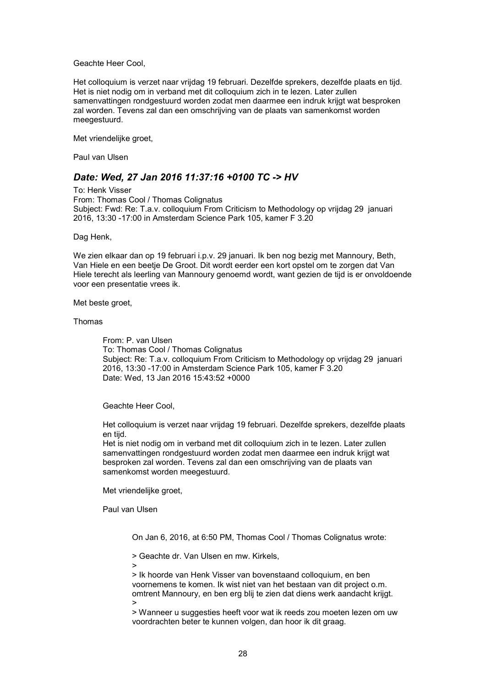Geachte Heer Cool,

Het colloquium is verzet naar vrijdag 19 februari. Dezelfde sprekers, dezelfde plaats en tijd. Het is niet nodig om in verband met dit colloquium zich in te lezen. Later zullen samenvattingen rondgestuurd worden zodat men daarmee een indruk krijgt wat besproken zal worden. Tevens zal dan een omschrijving van de plaats van samenkomst worden meegestuurd.

Met vriendelijke groet,

Paul van Ulsen

### *Date: Wed, 27 Jan 2016 11:37:16 +0100 TC -> HV*

To: Henk Visser From: Thomas Cool / Thomas Colignatus Subject: Fwd: Re: T.a.v. colloquium From Criticism to Methodology op vrijdag 29 januari 2016, 13:30 -17:00 in Amsterdam Science Park 105, kamer F 3.20

Dag Henk,

We zien elkaar dan op 19 februari i.p.v. 29 januari. Ik ben nog bezig met Mannoury, Beth, Van Hiele en een beetje De Groot. Dit wordt eerder een kort opstel om te zorgen dat Van Hiele terecht als leerling van Mannoury genoemd wordt, want gezien de tijd is er onvoldoende voor een presentatie vrees ik.

Met beste groet,

Thomas

From: P. van Ulsen To: Thomas Cool / Thomas Colignatus Subject: Re: T.a.v. colloquium From Criticism to Methodology op vrijdag 29 januari 2016, 13:30 -17:00 in Amsterdam Science Park 105, kamer F 3.20 Date: Wed, 13 Jan 2016 15:43:52 +0000

Geachte Heer Cool,

Het colloquium is verzet naar vrijdag 19 februari. Dezelfde sprekers, dezelfde plaats en tijd.

Het is niet nodig om in verband met dit colloquium zich in te lezen. Later zullen samenvattingen rondgestuurd worden zodat men daarmee een indruk krijgt wat besproken zal worden. Tevens zal dan een omschrijving van de plaats van samenkomst worden meegestuurd.

Met vriendelijke groet,

Paul van Ulsen

On Jan 6, 2016, at 6:50 PM, Thomas Cool / Thomas Colignatus wrote:

> Geachte dr. Van Ulsen en mw. Kirkels,

>

> Ik hoorde van Henk Visser van bovenstaand colloquium, en ben voornemens te komen. Ik wist niet van het bestaan van dit project o.m. omtrent Mannoury, en ben erg blij te zien dat diens werk aandacht krijgt. >

> Wanneer u suggesties heeft voor wat ik reeds zou moeten lezen om uw voordrachten beter te kunnen volgen, dan hoor ik dit graag.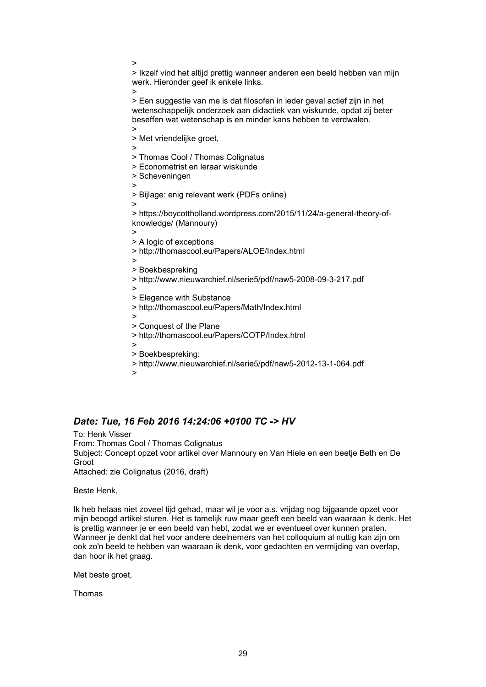> Ikzelf vind het altijd prettig wanneer anderen een beeld hebben van mijn werk. Hieronder geef ik enkele links. >

> Een suggestie van me is dat filosofen in ieder geval actief zijn in het wetenschappelijk onderzoek aan didactiek van wiskunde, opdat zij beter beseffen wat wetenschap is en minder kans hebben te verdwalen.

> Met vriendelijke groet,

>

> Thomas Cool / Thomas Colignatus > Econometrist en leraar wiskunde

- 
- > Scheveningen >

>

>

> Bijlage: enig relevant werk (PDFs online)

> > https://boycottholland.wordpress.com/2015/11/24/a-general-theory-ofknowledge/ (Mannoury)

- > > A logic of exceptions > http://thomascool.eu/Papers/ALOE/Index.html > > Boekbespreking > http://www.nieuwarchief.nl/serie5/pdf/naw5-2008-09-3-217.pdf > > Elegance with Substance > http://thomascool.eu/Papers/Math/Index.html >
	- > Conquest of the Plane
	- > http://thomascool.eu/Papers/COTP/Index.html
	- >
	- > Boekbespreking:
	- > http://www.nieuwarchief.nl/serie5/pdf/naw5-2012-13-1-064.pdf
	- >

# *Date: Tue, 16 Feb 2016 14:24:06 +0100 TC -> HV*

To: Henk Visser From: Thomas Cool / Thomas Colignatus Subject: Concept opzet voor artikel over Mannoury en Van Hiele en een beetje Beth en De Groot Attached: zie Colignatus (2016, draft)

Beste Henk,

Ik heb helaas niet zoveel tijd gehad, maar wil je voor a.s. vrijdag nog bijgaande opzet voor mijn beoogd artikel sturen. Het is tamelijk ruw maar geeft een beeld van waaraan ik denk. Het is prettig wanneer je er een beeld van hebt, zodat we er eventueel over kunnen praten. Wanneer je denkt dat het voor andere deelnemers van het colloquium al nuttig kan zijn om ook zo'n beeld te hebben van waaraan ik denk, voor gedachten en vermijding van overlap, dan hoor ik het graag.

Met beste groet.

Thomas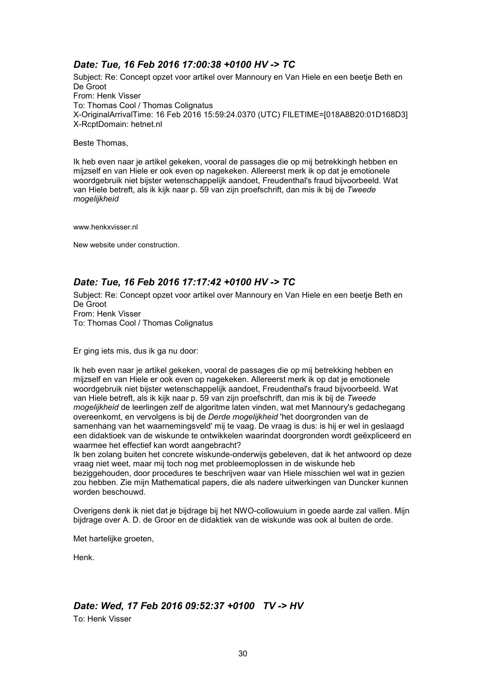# *Date: Tue, 16 Feb 2016 17:00:38 +0100 HV -> TC*

Subject: Re: Concept opzet voor artikel over Mannoury en Van Hiele en een beetje Beth en De Groot From: Henk Visser To: Thomas Cool / Thomas Colignatus X-OriginalArrivalTime: 16 Feb 2016 15:59:24.0370 (UTC) FILETIME=[018A8B20:01D168D3] X-RcptDomain: hetnet.nl

Beste Thomas,

Ik heb even naar je artikel gekeken, vooral de passages die op mij betrekkingh hebben en mijzself en van Hiele er ook even op nagekeken. Allereerst merk ik op dat je emotionele woordgebruik niet bijster wetenschappelijk aandoet, Freudenthal's fraud bijvoorbeeld. Wat van Hiele betreft, als ik kijk naar p. 59 van zijn proefschrift, dan mis ik bij de *Tweede mogelijkheid*

www.henkxvisser.nl

New website under construction.

# *Date: Tue, 16 Feb 2016 17:17:42 +0100 HV -> TC*

Subject: Re: Concept opzet voor artikel over Mannoury en Van Hiele en een beetje Beth en De Groot From: Henk Visser To: Thomas Cool / Thomas Colignatus

Er ging iets mis, dus ik ga nu door:

Ik heb even naar je artikel gekeken, vooral de passages die op mij betrekking hebben en mijzself en van Hiele er ook even op nagekeken. Allereerst merk ik op dat je emotionele woordgebruik niet bijster wetenschappelijk aandoet, Freudenthal's fraud bijvoorbeeld. Wat van Hiele betreft, als ik kijk naar p. 59 van zijn proefschrift, dan mis ik bij de *Tweede mogelijkheid* de leerlingen zelf de algoritme laten vinden, wat met Mannoury's gedachegang overeenkomt, en vervolgens is bij de *Derde mogelijkheid* 'het doorgronden van de samenhang van het waarnemingsveld' mij te vaag. De vraag is dus: is hij er wel in geslaagd een didaktioek van de wiskunde te ontwikkelen waarindat doorgronden wordt geëxpliceerd en waarmee het effectief kan wordt aangebracht?

Ik ben zolang buiten het concrete wiskunde-onderwijs gebeleven, dat ik het antwoord op deze vraag niet weet, maar mij toch nog met probleemoplossen in de wiskunde heb beziggehouden, door procedures te beschrijven waar van Hiele misschien wel wat in gezien zou hebben. Zie mijn Mathematical papers, die als nadere uitwerkingen van Duncker kunnen worden beschouwd.

Overigens denk ik niet dat je bijdrage bij het NWO-collowuium in goede aarde zal vallen. Mijn bijdrage over A. D. de Groor en de didaktiek van de wiskunde was ook al buiten de orde.

Met hartelijke groeten,

Henk.

# *Date: Wed, 17 Feb 2016 09:52:37 +0100 TV -> HV*

To: Henk Visser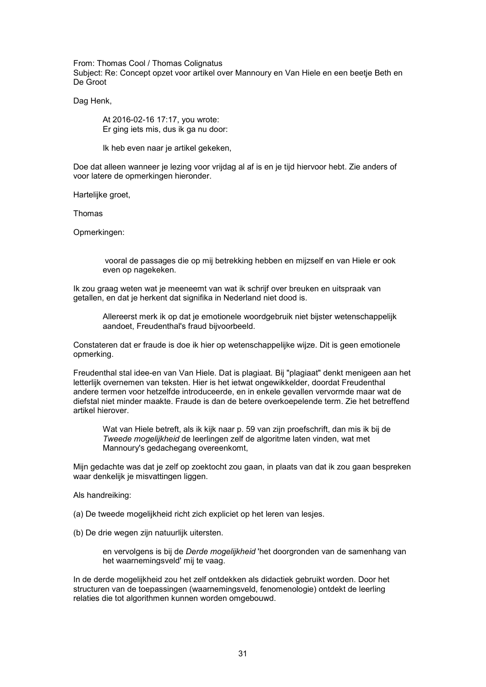From: Thomas Cool / Thomas Colignatus

Subject: Re: Concept opzet voor artikel over Mannoury en Van Hiele en een beetje Beth en De Groot

Dag Henk,

At 2016-02-16 17:17, you wrote: Er ging iets mis, dus ik ga nu door:

Ik heb even naar je artikel gekeken,

Doe dat alleen wanneer je lezing voor vrijdag al af is en je tijd hiervoor hebt. Zie anders of voor latere de opmerkingen hieronder.

Hartelijke groet,

Thomas

Opmerkingen:

 vooral de passages die op mij betrekking hebben en mijzself en van Hiele er ook even op nagekeken.

Ik zou graag weten wat je meeneemt van wat ik schrijf over breuken en uitspraak van getallen, en dat je herkent dat signifika in Nederland niet dood is.

Allereerst merk ik op dat je emotionele woordgebruik niet bijster wetenschappelijk aandoet, Freudenthal's fraud bijvoorbeeld.

Constateren dat er fraude is doe ik hier op wetenschappelijke wijze. Dit is geen emotionele opmerking.

Freudenthal stal idee-en van Van Hiele. Dat is plagiaat. Bij "plagiaat" denkt menigeen aan het letterlijk overnemen van teksten. Hier is het ietwat ongewikkelder, doordat Freudenthal andere termen voor hetzelfde introduceerde, en in enkele gevallen vervormde maar wat de diefstal niet minder maakte. Fraude is dan de betere overkoepelende term. Zie het betreffend artikel hierover.

Wat van Hiele betreft, als ik kijk naar p. 59 van zijn proefschrift, dan mis ik bij de *Tweede mogelijkheid* de leerlingen zelf de algoritme laten vinden, wat met Mannoury's gedachegang overeenkomt,

Mijn gedachte was dat je zelf op zoektocht zou gaan, in plaats van dat ik zou gaan bespreken waar denkelijk je misvattingen liggen.

Als handreiking:

(a) De tweede mogelijkheid richt zich expliciet op het leren van lesjes.

(b) De drie wegen zijn natuurlijk uitersten.

en vervolgens is bij de *Derde mogelijkheid* 'het doorgronden van de samenhang van het waarnemingsveld' mij te vaag.

In de derde mogelijkheid zou het zelf ontdekken als didactiek gebruikt worden. Door het structuren van de toepassingen (waarnemingsveld, fenomenologie) ontdekt de leerling relaties die tot algorithmen kunnen worden omgebouwd.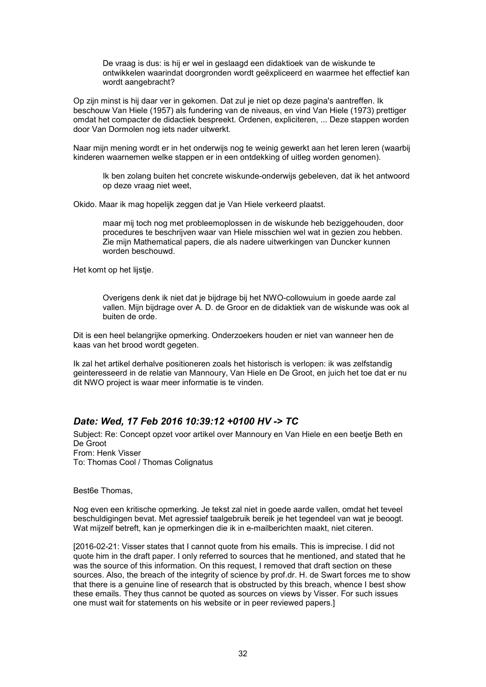De vraag is dus: is hij er wel in geslaagd een didaktioek van de wiskunde te ontwikkelen waarindat doorgronden wordt geëxpliceerd en waarmee het effectief kan wordt aangebracht?

Op zijn minst is hij daar ver in gekomen. Dat zul je niet op deze pagina's aantreffen. Ik beschouw Van Hiele (1957) als fundering van de niveaus, en vind Van Hiele (1973) prettiger omdat het compacter de didactiek bespreekt. Ordenen, expliciteren, ... Deze stappen worden door Van Dormolen nog iets nader uitwerkt.

Naar mijn mening wordt er in het onderwijs nog te weinig gewerkt aan het leren leren (waarbij kinderen waarnemen welke stappen er in een ontdekking of uitleg worden genomen).

Ik ben zolang buiten het concrete wiskunde-onderwijs gebeleven, dat ik het antwoord op deze vraag niet weet,

Okido. Maar ik mag hopelijk zeggen dat je Van Hiele verkeerd plaatst.

maar mij toch nog met probleemoplossen in de wiskunde heb beziggehouden, door procedures te beschrijven waar van Hiele misschien wel wat in gezien zou hebben. Zie mijn Mathematical papers, die als nadere uitwerkingen van Duncker kunnen worden beschouwd.

Het komt op het lijstje.

Overigens denk ik niet dat je bijdrage bij het NWO-collowuium in goede aarde zal vallen. Mijn bijdrage over A. D. de Groor en de didaktiek van de wiskunde was ook al buiten de orde.

Dit is een heel belangrijke opmerking. Onderzoekers houden er niet van wanneer hen de kaas van het brood wordt gegeten.

Ik zal het artikel derhalve positioneren zoals het historisch is verlopen: ik was zelfstandig geinteresseerd in de relatie van Mannoury, Van Hiele en De Groot, en juich het toe dat er nu dit NWO project is waar meer informatie is te vinden.

### *Date: Wed, 17 Feb 2016 10:39:12 +0100 HV -> TC*

Subject: Re: Concept opzet voor artikel over Mannoury en Van Hiele en een beetje Beth en De Groot From: Henk Visser To: Thomas Cool / Thomas Colignatus

Best6e Thomas,

Nog even een kritische opmerking. Je tekst zal niet in goede aarde vallen, omdat het teveel beschuldigingen bevat. Met agressief taalgebruik bereik je het tegendeel van wat je beoogt. Wat mijzelf betreft, kan je opmerkingen die ik in e-mailberichten maakt, niet citeren.

[2016-02-21: Visser states that I cannot quote from his emails. This is imprecise. I did not quote him in the draft paper. I only referred to sources that he mentioned, and stated that he was the source of this information. On this request, I removed that draft section on these sources. Also, the breach of the integrity of science by prof.dr. H. de Swart forces me to show that there is a genuine line of research that is obstructed by this breach, whence I best show these emails. They thus cannot be quoted as sources on views by Visser. For such issues one must wait for statements on his website or in peer reviewed papers.]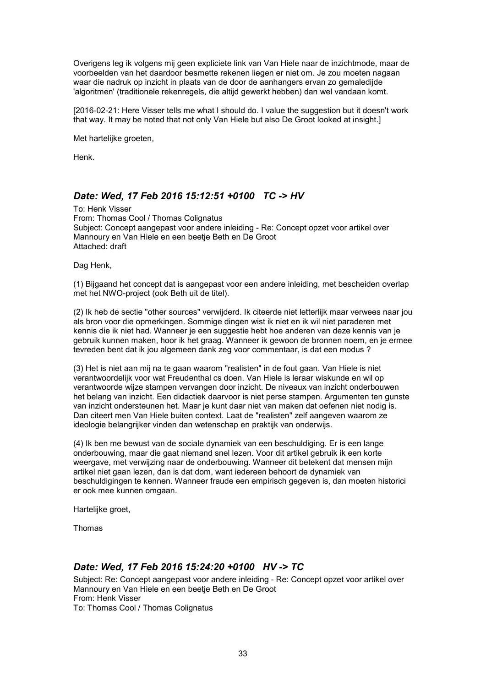Overigens leg ik volgens mij geen expliciete link van Van Hiele naar de inzichtmode, maar de voorbeelden van het daardoor besmette rekenen liegen er niet om. Je zou moeten nagaan waar die nadruk op inzicht in plaats van de door de aanhangers ervan zo gemaledijde 'algoritmen' (traditionele rekenregels, die altijd gewerkt hebben) dan wel vandaan komt.

[2016-02-21: Here Visser tells me what I should do. I value the suggestion but it doesn't work that way. It may be noted that not only Van Hiele but also De Groot looked at insight.]

Met hartelijke groeten,

Henk.

### *Date: Wed, 17 Feb 2016 15:12:51 +0100 TC -> HV*

To: Henk Visser From: Thomas Cool / Thomas Colignatus Subject: Concept aangepast voor andere inleiding - Re: Concept opzet voor artikel over Mannoury en Van Hiele en een beetje Beth en De Groot Attached: draft

Dag Henk,

(1) Bijgaand het concept dat is aangepast voor een andere inleiding, met bescheiden overlap met het NWO-project (ook Beth uit de titel).

(2) Ik heb de sectie "other sources" verwijderd. Ik citeerde niet letterlijk maar verwees naar jou als bron voor die opmerkingen. Sommige dingen wist ik niet en ik wil niet paraderen met kennis die ik niet had. Wanneer je een suggestie hebt hoe anderen van deze kennis van je gebruik kunnen maken, hoor ik het graag. Wanneer ik gewoon de bronnen noem, en je ermee tevreden bent dat ik jou algemeen dank zeg voor commentaar, is dat een modus ?

(3) Het is niet aan mij na te gaan waarom "realisten" in de fout gaan. Van Hiele is niet verantwoordelijk voor wat Freudenthal cs doen. Van Hiele is leraar wiskunde en wil op verantwoorde wijze stampen vervangen door inzicht. De niveaux van inzicht onderbouwen het belang van inzicht. Een didactiek daarvoor is niet perse stampen. Argumenten ten gunste van inzicht ondersteunen het. Maar je kunt daar niet van maken dat oefenen niet nodig is. Dan citeert men Van Hiele buiten context. Laat de "realisten" zelf aangeven waarom ze ideologie belangrijker vinden dan wetenschap en praktijk van onderwijs.

(4) Ik ben me bewust van de sociale dynamiek van een beschuldiging. Er is een lange onderbouwing, maar die gaat niemand snel lezen. Voor dit artikel gebruik ik een korte weergave, met verwijzing naar de onderbouwing. Wanneer dit betekent dat mensen mijn artikel niet gaan lezen, dan is dat dom, want iedereen behoort de dynamiek van beschuldigingen te kennen. Wanneer fraude een empirisch gegeven is, dan moeten historici er ook mee kunnen omgaan.

Hartelijke groet,

Thomas

### *Date: Wed, 17 Feb 2016 15:24:20 +0100 HV -> TC*

Subject: Re: Concept aangepast voor andere inleiding - Re: Concept opzet voor artikel over Mannoury en Van Hiele en een beetje Beth en De Groot From: Henk Visser To: Thomas Cool / Thomas Colignatus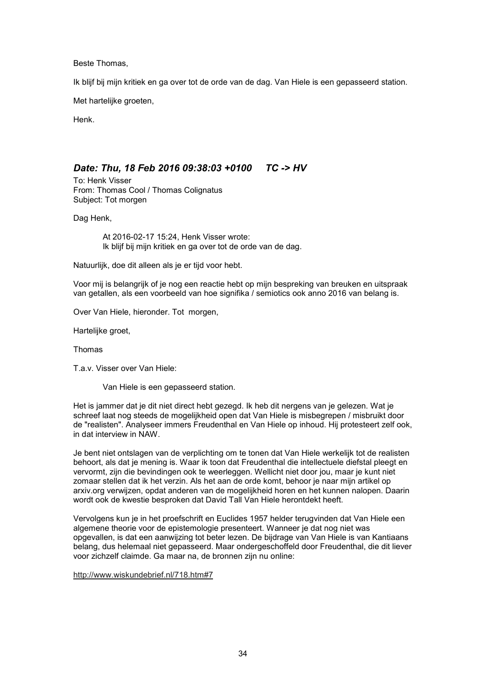Beste Thomas,

Ik blijf bij mijn kritiek en ga over tot de orde van de dag. Van Hiele is een gepasseerd station.

Met hartelijke groeten,

Henk.

# *Date: Thu, 18 Feb 2016 09:38:03 +0100 TC -> HV*

To: Henk Visser From: Thomas Cool / Thomas Colignatus Subject: Tot morgen

Dag Henk,

At 2016-02-17 15:24, Henk Visser wrote: Ik blijf bij mijn kritiek en ga over tot de orde van de dag.

Natuurlijk, doe dit alleen als je er tijd voor hebt.

Voor mij is belangrijk of je nog een reactie hebt op mijn bespreking van breuken en uitspraak van getallen, als een voorbeeld van hoe signifika / semiotics ook anno 2016 van belang is.

Over Van Hiele, hieronder. Tot morgen,

Hartelijke groet,

Thomas

T.a.v. Visser over Van Hiele:

Van Hiele is een gepasseerd station.

Het is jammer dat je dit niet direct hebt gezegd. Ik heb dit nergens van je gelezen. Wat je schreef laat nog steeds de mogelijkheid open dat Van Hiele is misbegrepen / misbruikt door de "realisten". Analyseer immers Freudenthal en Van Hiele op inhoud. Hij protesteert zelf ook, in dat interview in NAW.

Je bent niet ontslagen van de verplichting om te tonen dat Van Hiele werkelijk tot de realisten behoort, als dat je mening is. Waar ik toon dat Freudenthal die intellectuele diefstal pleegt en vervormt, zijn die bevindingen ook te weerleggen. Wellicht niet door jou, maar je kunt niet zomaar stellen dat ik het verzin. Als het aan de orde komt, behoor je naar mijn artikel op arxiv.org verwijzen, opdat anderen van de mogelijkheid horen en het kunnen nalopen. Daarin wordt ook de kwestie besproken dat David Tall Van Hiele herontdekt heeft.

Vervolgens kun je in het proefschrift en Euclides 1957 helder terugvinden dat Van Hiele een algemene theorie voor de epistemologie presenteert. Wanneer je dat nog niet was opgevallen, is dat een aanwijzing tot beter lezen. De bijdrage van Van Hiele is van Kantiaans belang, dus helemaal niet gepasseerd. Maar ondergeschoffeld door Freudenthal, die dit liever voor zichzelf claimde. Ga maar na, de bronnen zijn nu online:

http://www.wiskundebrief.nl/718.htm#7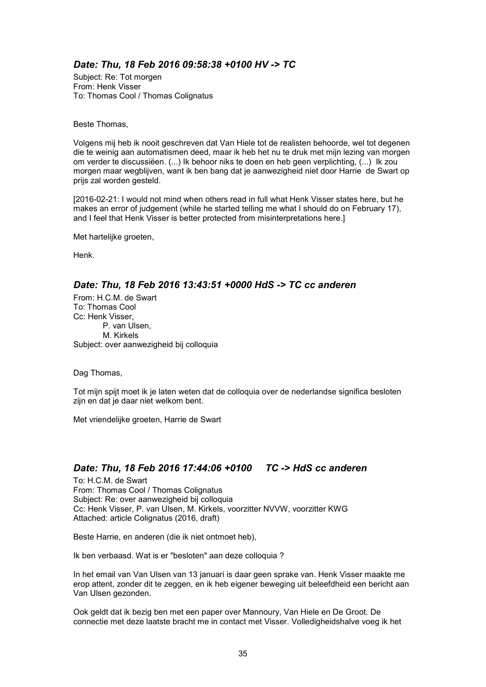# *Date: Thu, 18 Feb 2016 09:58:38 +0100 HV -> TC*

Subject: Re: Tot morgen From: Henk Visser To: Thomas Cool / Thomas Colignatus

Beste Thomas,

Volgens mij heb ik nooit geschreven dat Van Hiele tot de realisten behoorde, wel tot degenen die te weinig aan automatismen deed, maar ik heb het nu te druk met mijn lezing van morgen om verder te discussiëen. (...) Ik behoor niks te doen en heb geen verplichting, (...) Ik zou morgen maar wegblijven, want ik ben bang dat je aanwezigheid niet door Harrie de Swart op prijs zal worden gesteld.

[2016-02-21: I would not mind when others read in full what Henk Visser states here, but he makes an error of judgement (while he started telling me what I should do on February 17), and I feel that Henk Visser is better protected from misinterpretations here.]

Met hartelijke groeten,

Henk.

# *Date: Thu, 18 Feb 2016 13:43:51 +0000 HdS -> TC cc anderen*

From: H.C.M. de Swart To: Thomas Cool Cc: Henk Visser, P. van Ulsen, M. Kirkels Subject: over aanwezigheid bij colloquia

Dag Thomas,

Tot mijn spijt moet ik je laten weten dat de colloquia over de nederlandse significa besloten zijn en dat je daar niet welkom bent.

Met vriendelijke groeten, Harrie de Swart

# *Date: Thu, 18 Feb 2016 17:44:06 +0100 TC -> HdS cc anderen*

To: H.C.M. de Swart From: Thomas Cool / Thomas Colignatus Subject: Re: over aanwezigheid bij colloquia Cc: Henk Visser, P. van Ulsen, M. Kirkels, voorzitter NVVW, voorzitter KWG Attached: article Colignatus (2016, draft)

Beste Harrie, en anderen (die ik niet ontmoet heb),

Ik ben verbaasd. Wat is er "besloten" aan deze colloquia ?

In het email van Van Ulsen van 13 januari is daar geen sprake van. Henk Visser maakte me erop attent, zonder dit te zeggen, en ik heb eigener beweging uit beleefdheid een bericht aan Van Ulsen gezonden.

Ook geldt dat ik bezig ben met een paper over Mannoury, Van Hiele en De Groot. De connectie met deze laatste bracht me in contact met Visser. Volledigheidshalve voeg ik het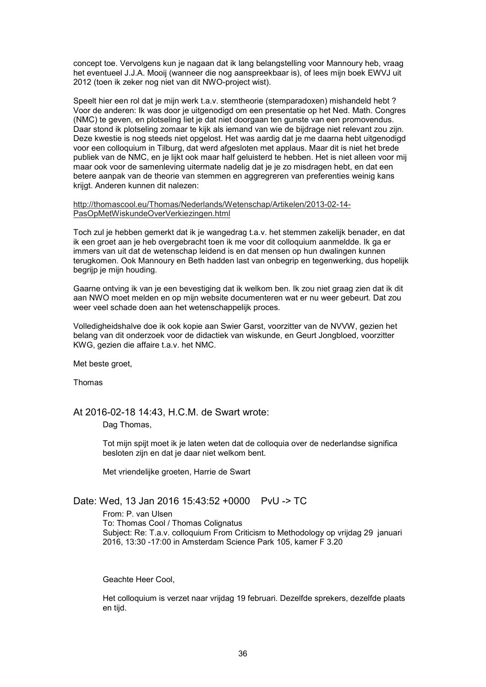concept toe. Vervolgens kun je nagaan dat ik lang belangstelling voor Mannoury heb, vraag het eventueel J.J.A. Mooij (wanneer die nog aanspreekbaar is), of lees mijn boek EWVJ uit 2012 (toen ik zeker nog niet van dit NWO-project wist).

Speelt hier een rol dat je mijn werk t.a.v. stemtheorie (stemparadoxen) mishandeld hebt ? Voor de anderen: Ik was door je uitgenodigd om een presentatie op het Ned. Math. Congres (NMC) te geven, en plotseling liet je dat niet doorgaan ten gunste van een promovendus. Daar stond ik plotseling zomaar te kijk als iemand van wie de bijdrage niet relevant zou zijn. Deze kwestie is nog steeds niet opgelost. Het was aardig dat je me daarna hebt uitgenodigd voor een colloquium in Tilburg, dat werd afgesloten met applaus. Maar dit is niet het brede publiek van de NMC, en je lijkt ook maar half geluisterd te hebben. Het is niet alleen voor mij maar ook voor de samenleving uitermate nadelig dat je je zo misdragen hebt, en dat een betere aanpak van de theorie van stemmen en aggregreren van preferenties weinig kans krijgt. Anderen kunnen dit nalezen:

http://thomascool.eu/Thomas/Nederlands/Wetenschap/Artikelen/2013-02-14- PasOpMetWiskundeOverVerkiezingen.html

Toch zul je hebben gemerkt dat ik je wangedrag t.a.v. het stemmen zakelijk benader, en dat ik een groet aan je heb overgebracht toen ik me voor dit colloquium aanmeldde. Ik ga er immers van uit dat de wetenschap leidend is en dat mensen op hun dwalingen kunnen terugkomen. Ook Mannoury en Beth hadden last van onbegrip en tegenwerking, dus hopelijk begrijp je mijn houding.

Gaarne ontving ik van je een bevestiging dat ik welkom ben. Ik zou niet graag zien dat ik dit aan NWO moet melden en op mijn website documenteren wat er nu weer gebeurt. Dat zou weer veel schade doen aan het wetenschappelijk proces.

Volledigheidshalve doe ik ook kopie aan Swier Garst, voorzitter van de NVVW, gezien het belang van dit onderzoek voor de didactiek van wiskunde, en Geurt Jongbloed, voorzitter KWG, gezien die affaire t.a.v. het NMC.

Met beste groet,

Thomas

At 2016-02-18 14:43, H.C.M. de Swart wrote:

Dag Thomas,

Tot mijn spijt moet ik je laten weten dat de colloquia over de nederlandse significa besloten zijn en dat je daar niet welkom bent.

Met vriendelijke groeten, Harrie de Swart

Date: Wed, 13 Jan 2016 15:43:52 +0000 PvU -> TC

From: P. van Ulsen To: Thomas Cool / Thomas Colignatus Subject: Re: T.a.v. colloquium From Criticism to Methodology op vrijdag 29 januari 2016, 13:30 -17:00 in Amsterdam Science Park 105, kamer F 3.20

Geachte Heer Cool,

Het colloquium is verzet naar vrijdag 19 februari. Dezelfde sprekers, dezelfde plaats en tijd.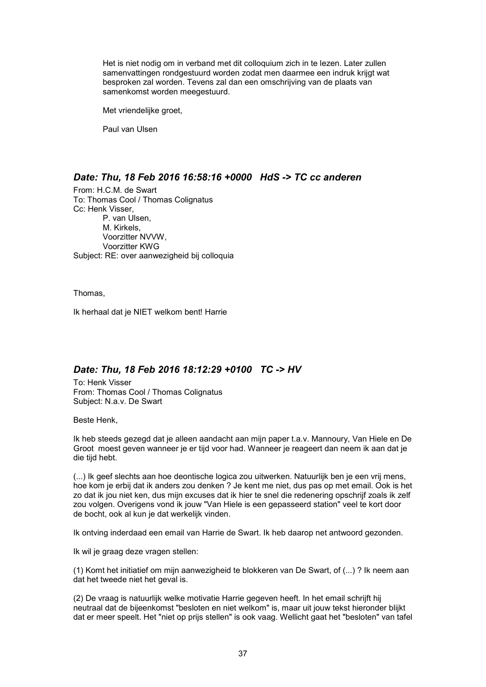Het is niet nodig om in verband met dit colloquium zich in te lezen. Later zullen samenvattingen rondgestuurd worden zodat men daarmee een indruk krijgt wat besproken zal worden. Tevens zal dan een omschrijving van de plaats van samenkomst worden meegestuurd.

Met vriendelijke groet,

Paul van Ulsen

### *Date: Thu, 18 Feb 2016 16:58:16 +0000 HdS -> TC cc anderen*

From: H.C.M. de Swart To: Thomas Cool / Thomas Colignatus Cc: Henk Visser, P. van Ulsen, M. Kirkels, Voorzitter NVVW, Voorzitter KWG Subject: RE: over aanwezigheid bij colloquia

Thomas,

Ik herhaal dat je NIET welkom bent! Harrie

### *Date: Thu, 18 Feb 2016 18:12:29 +0100 TC -> HV*

To: Henk Visser From: Thomas Cool / Thomas Colignatus Subject: N.a.v. De Swart

Beste Henk,

Ik heb steeds gezegd dat je alleen aandacht aan mijn paper t.a.v. Mannoury, Van Hiele en De Groot moest geven wanneer je er tijd voor had. Wanneer je reageert dan neem ik aan dat je die tijd hebt.

(...) Ik geef slechts aan hoe deontische logica zou uitwerken. Natuurlijk ben je een vrij mens, hoe kom je erbij dat ik anders zou denken ? Je kent me niet, dus pas op met email. Ook is het zo dat ik jou niet ken, dus mijn excuses dat ik hier te snel die redenering opschrijf zoals ik zelf zou volgen. Overigens vond ik jouw "Van Hiele is een gepasseerd station" veel te kort door de bocht, ook al kun je dat werkelijk vinden.

Ik ontving inderdaad een email van Harrie de Swart. Ik heb daarop net antwoord gezonden.

Ik wil je graag deze vragen stellen:

(1) Komt het initiatief om mijn aanwezigheid te blokkeren van De Swart, of (...) ? Ik neem aan dat het tweede niet het geval is.

(2) De vraag is natuurlijk welke motivatie Harrie gegeven heeft. In het email schrijft hij neutraal dat de bijeenkomst "besloten en niet welkom" is, maar uit jouw tekst hieronder blijkt dat er meer speelt. Het "niet op prijs stellen" is ook vaag. Wellicht gaat het "besloten" van tafel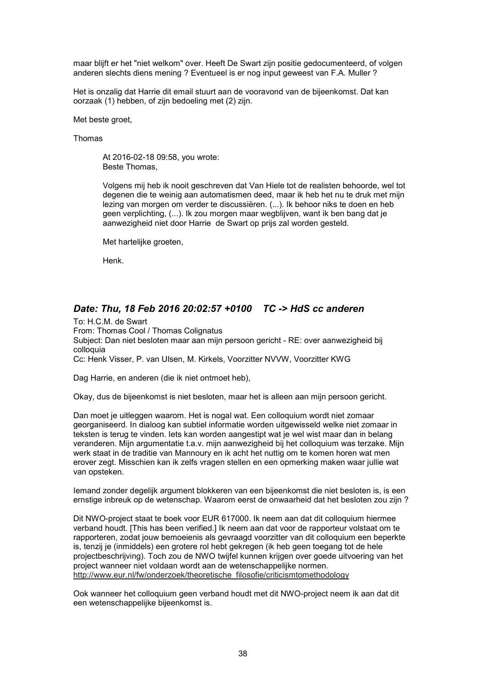maar blijft er het "niet welkom" over. Heeft De Swart zijn positie gedocumenteerd, of volgen anderen slechts diens mening ? Eventueel is er nog input geweest van F.A. Muller ?

Het is onzalig dat Harrie dit email stuurt aan de vooravond van de bijeenkomst. Dat kan oorzaak (1) hebben, of zijn bedoeling met (2) zijn.

Met beste groet.

Thomas

At 2016-02-18 09:58, you wrote: Beste Thomas,

Volgens mij heb ik nooit geschreven dat Van Hiele tot de realisten behoorde, wel tot degenen die te weinig aan automatismen deed, maar ik heb het nu te druk met mijn lezing van morgen om verder te discussiëren. (...). Ik behoor niks te doen en heb geen verplichting, (...). Ik zou morgen maar wegblijven, want ik ben bang dat je aanwezigheid niet door Harrie de Swart op prijs zal worden gesteld.

Met hartelijke groeten,

Henk.

# *Date: Thu, 18 Feb 2016 20:02:57 +0100 TC -> HdS cc anderen*

To: H.C.M. de Swart From: Thomas Cool / Thomas Colignatus Subject: Dan niet besloten maar aan mijn persoon gericht - RE: over aanwezigheid bij colloquia Cc: Henk Visser, P. van Ulsen, M. Kirkels, Voorzitter NVVW, Voorzitter KWG

Dag Harrie, en anderen (die ik niet ontmoet heb),

Okay, dus de bijeenkomst is niet besloten, maar het is alleen aan mijn persoon gericht.

Dan moet je uitleggen waarom. Het is nogal wat. Een colloquium wordt niet zomaar georganiseerd. In dialoog kan subtiel informatie worden uitgewisseld welke niet zomaar in teksten is terug te vinden. Iets kan worden aangestipt wat je wel wist maar dan in belang veranderen. Mijn argumentatie t.a.v. mijn aanwezigheid bij het colloquium was terzake. Mijn werk staat in de traditie van Mannoury en ik acht het nuttig om te komen horen wat men erover zegt. Misschien kan ik zelfs vragen stellen en een opmerking maken waar jullie wat van opsteken.

Iemand zonder degelijk argument blokkeren van een bijeenkomst die niet besloten is, is een ernstige inbreuk op de wetenschap. Waarom eerst de onwaarheid dat het besloten zou zijn ?

Dit NWO-project staat te boek voor EUR 617000. Ik neem aan dat dit colloquium hiermee verband houdt. [This has been verified.] Ik neem aan dat voor de rapporteur volstaat om te rapporteren, zodat jouw bemoeienis als gevraagd voorzitter van dit colloquium een beperkte is, tenzij je (inmiddels) een grotere rol hebt gekregen (ik heb geen toegang tot de hele projectbeschrijving). Toch zou de NWO twijfel kunnen krijgen over goede uitvoering van het project wanneer niet voldaan wordt aan de wetenschappelijke normen. http://www.eur.nl/fw/onderzoek/theoretische\_filosofie/criticismtomethodology

Ook wanneer het colloquium geen verband houdt met dit NWO-project neem ik aan dat dit een wetenschappelijke bijeenkomst is.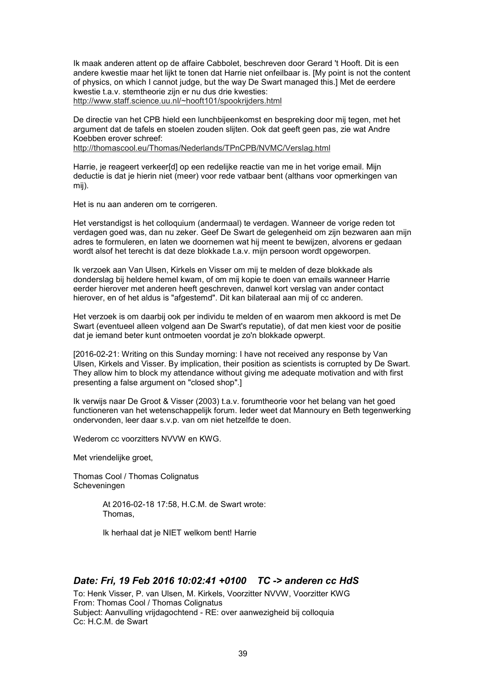Ik maak anderen attent op de affaire Cabbolet, beschreven door Gerard 't Hooft. Dit is een andere kwestie maar het lijkt te tonen dat Harrie niet onfeilbaar is. [My point is not the content of physics, on which I cannot judge, but the way De Swart managed this.] Met de eerdere kwestie t.a.v. stemtheorie zijn er nu dus drie kwesties: http://www.staff.science.uu.nl/~hooft101/spookrijders.html

De directie van het CPB hield een lunchbijeenkomst en bespreking door mij tegen, met het argument dat de tafels en stoelen zouden slijten. Ook dat geeft geen pas, zie wat Andre Koebben erover schreef: http://thomascool.eu/Thomas/Nederlands/TPnCPB/NVMC/Verslag.html

Harrie, je reageert verkeer[d] op een redelijke reactie van me in het vorige email. Mijn deductie is dat je hierin niet (meer) voor rede vatbaar bent (althans voor opmerkingen van mij).

Het is nu aan anderen om te corrigeren.

Het verstandigst is het colloquium (andermaal) te verdagen. Wanneer de vorige reden tot verdagen goed was, dan nu zeker. Geef De Swart de gelegenheid om zijn bezwaren aan mijn adres te formuleren, en laten we doornemen wat hij meent te bewijzen, alvorens er gedaan wordt alsof het terecht is dat deze blokkade t.a.v. mijn persoon wordt opgeworpen.

Ik verzoek aan Van Ulsen, Kirkels en Visser om mij te melden of deze blokkade als donderslag bij heldere hemel kwam, of om mij kopie te doen van emails wanneer Harrie eerder hierover met anderen heeft geschreven, danwel kort verslag van ander contact hierover, en of het aldus is "afgestemd". Dit kan bilateraal aan mij of cc anderen.

Het verzoek is om daarbij ook per individu te melden of en waarom men akkoord is met De Swart (eventueel alleen volgend aan De Swart's reputatie), of dat men kiest voor de positie dat je iemand beter kunt ontmoeten voordat je zo'n blokkade opwerpt.

[2016-02-21: Writing on this Sunday morning: I have not received any response by Van Ulsen, Kirkels and Visser. By implication, their position as scientists is corrupted by De Swart. They allow him to block my attendance without giving me adequate motivation and with first presenting a false argument on "closed shop".]

Ik verwijs naar De Groot & Visser (2003) t.a.v. forumtheorie voor het belang van het goed functioneren van het wetenschappelijk forum. Ieder weet dat Mannoury en Beth tegenwerking ondervonden, leer daar s.v.p. van om niet hetzelfde te doen.

Wederom cc voorzitters NVVW en KWG.

Met vriendelijke groet,

Thomas Cool / Thomas Colignatus Scheveningen

> At 2016-02-18 17:58, H.C.M. de Swart wrote: Thomas,

Ik herhaal dat je NIET welkom bent! Harrie

## *Date: Fri, 19 Feb 2016 10:02:41 +0100 TC -> anderen cc HdS*

To: Henk Visser, P. van Ulsen, M. Kirkels, Voorzitter NVVW, Voorzitter KWG From: Thomas Cool / Thomas Colignatus Subject: Aanvulling vrijdagochtend - RE: over aanwezigheid bij colloquia Cc: H.C.M. de Swart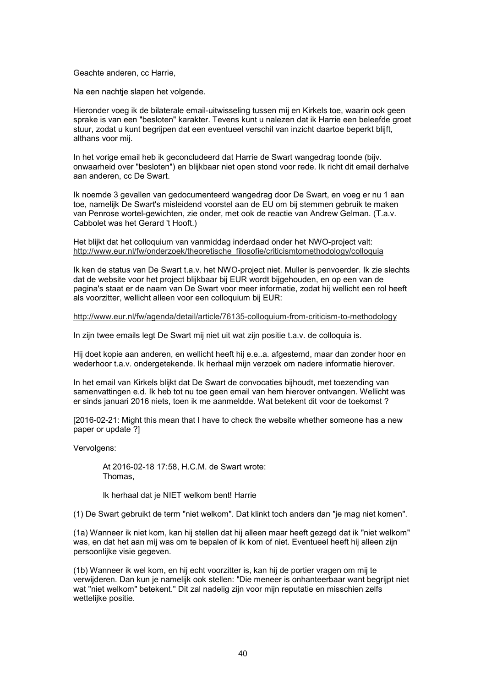#### Geachte anderen, cc Harrie,

Na een nachtje slapen het volgende.

Hieronder voeg ik de bilaterale email-uitwisseling tussen mij en Kirkels toe, waarin ook geen sprake is van een "besloten" karakter. Tevens kunt u nalezen dat ik Harrie een beleefde groet stuur, zodat u kunt begrijpen dat een eventueel verschil van inzicht daartoe beperkt blijft, althans voor mij.

In het vorige email heb ik geconcludeerd dat Harrie de Swart wangedrag toonde (bijv. onwaarheid over "besloten") en blijkbaar niet open stond voor rede. Ik richt dit email derhalve aan anderen, cc De Swart.

Ik noemde 3 gevallen van gedocumenteerd wangedrag door De Swart, en voeg er nu 1 aan toe, namelijk De Swart's misleidend voorstel aan de EU om bij stemmen gebruik te maken van Penrose wortel-gewichten, zie onder, met ook de reactie van Andrew Gelman. (T.a.v. Cabbolet was het Gerard 't Hooft.)

Het blijkt dat het colloquium van vanmiddag inderdaad onder het NWO-project valt: http://www.eur.nl/fw/onderzoek/theoretische\_filosofie/criticismtomethodology/colloquia

Ik ken de status van De Swart t.a.v. het NWO-project niet. Muller is penvoerder. Ik zie slechts dat de website voor het project blijkbaar bij EUR wordt bijgehouden, en op een van de pagina's staat er de naam van De Swart voor meer informatie, zodat hij wellicht een rol heeft als voorzitter, wellicht alleen voor een colloquium bij EUR:

http://www.eur.nl/fw/agenda/detail/article/76135-colloquium-from-criticism-to-methodology

In zijn twee emails legt De Swart mij niet uit wat zijn positie t.a.v. de colloquia is.

Hij doet kopie aan anderen, en wellicht heeft hij e.e..a. afgestemd, maar dan zonder hoor en wederhoor t.a.v. ondergetekende. Ik herhaal mijn verzoek om nadere informatie hierover.

In het email van Kirkels blijkt dat De Swart de convocaties bijhoudt, met toezending van samenvattingen e.d. Ik heb tot nu toe geen email van hem hierover ontvangen. Wellicht was er sinds januari 2016 niets, toen ik me aanmeldde. Wat betekent dit voor de toekomst ?

[2016-02-21: Might this mean that I have to check the website whether someone has a new paper or update ?]

Vervolgens:

At 2016-02-18 17:58, H.C.M. de Swart wrote: Thomas,

Ik herhaal dat je NIET welkom bent! Harrie

(1) De Swart gebruikt de term "niet welkom". Dat klinkt toch anders dan "je mag niet komen".

(1a) Wanneer ik niet kom, kan hij stellen dat hij alleen maar heeft gezegd dat ik "niet welkom" was, en dat het aan mij was om te bepalen of ik kom of niet. Eventueel heeft hij alleen zijn persoonlijke visie gegeven.

(1b) Wanneer ik wel kom, en hij echt voorzitter is, kan hij de portier vragen om mij te verwijderen. Dan kun je namelijk ook stellen: "Die meneer is onhanteerbaar want begrijpt niet wat "niet welkom" betekent." Dit zal nadelig zijn voor mijn reputatie en misschien zelfs wettelijke positie.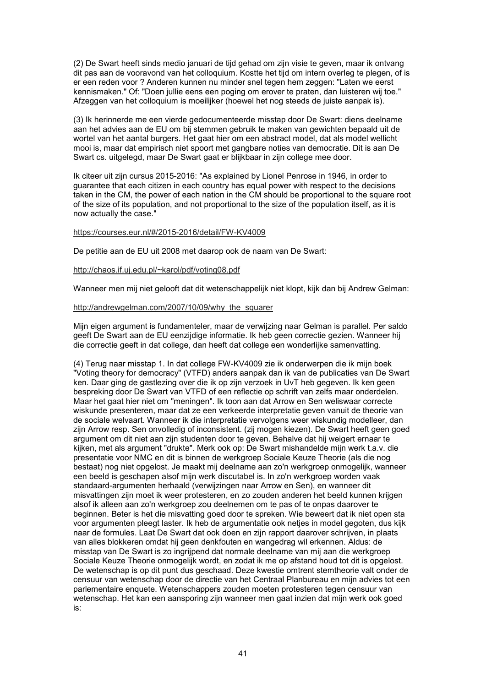(2) De Swart heeft sinds medio januari de tijd gehad om zijn visie te geven, maar ik ontvang dit pas aan de vooravond van het colloquium. Kostte het tijd om intern overleg te plegen, of is er een reden voor ? Anderen kunnen nu minder snel tegen hem zeggen: "Laten we eerst kennismaken." Of: "Doen jullie eens een poging om erover te praten, dan luisteren wij toe." Afzeggen van het colloquium is moeilijker (hoewel het nog steeds de juiste aanpak is).

(3) Ik herinnerde me een vierde gedocumenteerde misstap door De Swart: diens deelname aan het advies aan de EU om bij stemmen gebruik te maken van gewichten bepaald uit de wortel van het aantal burgers. Het gaat hier om een abstract model, dat als model wellicht mooi is, maar dat empirisch niet spoort met gangbare noties van democratie. Dit is aan De Swart cs. uitgelegd, maar De Swart gaat er blijkbaar in zijn college mee door.

Ik citeer uit zijn cursus 2015-2016: "As explained by Lionel Penrose in 1946, in order to guarantee that each citizen in each country has equal power with respect to the decisions taken in the CM, the power of each nation in the CM should be proportional to the square root of the size of its population, and not proportional to the size of the population itself, as it is now actually the case."

#### https://courses.eur.nl/#/2015-2016/detail/FW-KV4009

De petitie aan de EU uit 2008 met daarop ook de naam van De Swart:

#### http://chaos.if.uj.edu.pl/~karol/pdf/voting08.pdf

Wanneer men mij niet gelooft dat dit wetenschappelijk niet klopt, kijk dan bij Andrew Gelman:

#### http://andrewgelman.com/2007/10/09/why\_the\_squarer

Mijn eigen argument is fundamenteler, maar de verwijzing naar Gelman is parallel. Per saldo geeft De Swart aan de EU eenzijdige informatie. Ik heb geen correctie gezien. Wanneer hij die correctie geeft in dat college, dan heeft dat college een wonderlijke samenvatting.

(4) Terug naar misstap 1. In dat college FW-KV4009 zie ik onderwerpen die ik mijn boek "Voting theory for democracy" (VTFD) anders aanpak dan ik van de publicaties van De Swart ken. Daar ging de gastlezing over die ik op zijn verzoek in UvT heb gegeven. Ik ken geen bespreking door De Swart van VTFD of een reflectie op schrift van zelfs maar onderdelen. Maar het gaat hier niet om "meningen". Ik toon aan dat Arrow en Sen weliswaar correcte wiskunde presenteren, maar dat ze een verkeerde interpretatie geven vanuit de theorie van de sociale welvaart. Wanneer ik die interpretatie vervolgens weer wiskundig modelleer, dan zijn Arrow resp. Sen onvolledig of inconsistent. (zij mogen kiezen). De Swart heeft geen goed argument om dit niet aan zijn studenten door te geven. Behalve dat hij weigert ernaar te kijken, met als argument "drukte". Merk ook op: De Swart mishandelde mijn werk t.a.v. die presentatie voor NMC en dit is binnen de werkgroep Sociale Keuze Theorie (als die nog bestaat) nog niet opgelost. Je maakt mij deelname aan zo'n werkgroep onmogelijk, wanneer een beeld is geschapen alsof mijn werk discutabel is. In zo'n werkgroep worden vaak standaard-argumenten herhaald (verwijzingen naar Arrow en Sen), en wanneer dit misvattingen zijn moet ik weer protesteren, en zo zouden anderen het beeld kunnen krijgen alsof ik alleen aan zo'n werkgroep zou deelnemen om te pas of te onpas daarover te beginnen. Beter is het die misvatting goed door te spreken. Wie beweert dat ik niet open sta voor argumenten pleegt laster. Ik heb de argumentatie ook netjes in model gegoten, dus kijk naar de formules. Laat De Swart dat ook doen en zijn rapport daarover schrijven, in plaats van alles blokkeren omdat hij geen denkfouten en wangedrag wil erkennen. Aldus: de misstap van De Swart is zo ingrijpend dat normale deelname van mij aan die werkgroep Sociale Keuze Theorie onmogelijk wordt, en zodat ik me op afstand houd tot dit is opgelost. De wetenschap is op dit punt dus geschaad. Deze kwestie omtrent stemtheorie valt onder de censuur van wetenschap door de directie van het Centraal Planbureau en mijn advies tot een parlementaire enquete. Wetenschappers zouden moeten protesteren tegen censuur van wetenschap. Het kan een aansporing zijn wanneer men gaat inzien dat mijn werk ook goed is: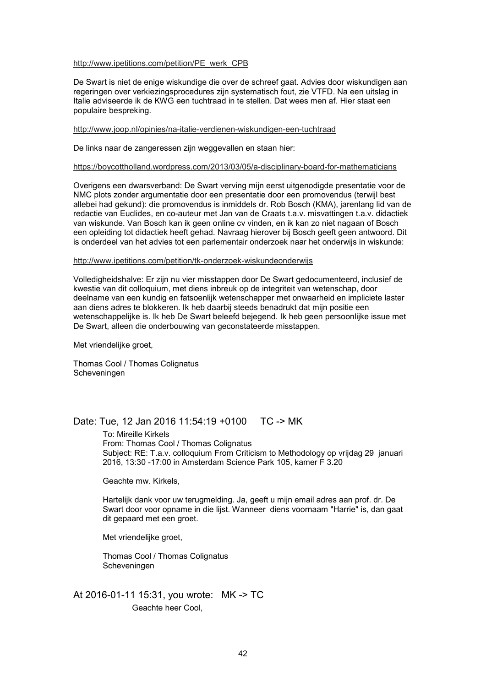#### http://www.ipetitions.com/petition/PE\_werk\_CPB

De Swart is niet de enige wiskundige die over de schreef gaat. Advies door wiskundigen aan regeringen over verkiezingsprocedures zijn systematisch fout, zie VTFD. Na een uitslag in Italie adviseerde ik de KWG een tuchtraad in te stellen. Dat wees men af. Hier staat een populaire bespreking.

#### http://www.joop.nl/opinies/na-italie-verdienen-wiskundigen-een-tuchtraad

De links naar de zangeressen zijn weggevallen en staan hier:

#### https://boycottholland.wordpress.com/2013/03/05/a-disciplinary-board-for-mathematicians

Overigens een dwarsverband: De Swart verving mijn eerst uitgenodigde presentatie voor de NMC plots zonder argumentatie door een presentatie door een promovendus (terwijl best allebei had gekund): die promovendus is inmiddels dr. Rob Bosch (KMA), jarenlang lid van de redactie van Euclides, en co-auteur met Jan van de Craats t.a.v. misvattingen t.a.v. didactiek van wiskunde. Van Bosch kan ik geen online cv vinden, en ik kan zo niet nagaan of Bosch een opleiding tot didactiek heeft gehad. Navraag hierover bij Bosch geeft geen antwoord. Dit is onderdeel van het advies tot een parlementair onderzoek naar het onderwijs in wiskunde:

#### http://www.ipetitions.com/petition/tk-onderzoek-wiskundeonderwijs

Volledigheidshalve: Er zijn nu vier misstappen door De Swart gedocumenteerd, inclusief de kwestie van dit colloquium, met diens inbreuk op de integriteit van wetenschap, door deelname van een kundig en fatsoenlijk wetenschapper met onwaarheid en impliciete laster aan diens adres te blokkeren. Ik heb daarbij steeds benadrukt dat mijn positie een wetenschappelijke is. Ik heb De Swart beleefd bejegend. Ik heb geen persoonlijke issue met De Swart, alleen die onderbouwing van geconstateerde misstappen.

Met vriendelijke groet,

Thomas Cool / Thomas Colignatus Scheveningen

### Date: Tue, 12 Jan 2016 11:54:19 +0100 TC -> MK

To: Mireille Kirkels From: Thomas Cool / Thomas Colignatus Subject: RE: T.a.v. colloquium From Criticism to Methodology op vrijdag 29 januari 2016, 13:30 -17:00 in Amsterdam Science Park 105, kamer F 3.20

Geachte mw. Kirkels,

Hartelijk dank voor uw terugmelding. Ja, geeft u mijn email adres aan prof. dr. De Swart door voor opname in die lijst. Wanneer diens voornaam "Harrie" is, dan gaat dit gepaard met een groet.

Met vriendelijke groet,

Thomas Cool / Thomas Colignatus Scheveningen

At 2016-01-11 15:31, you wrote: MK -> TC Geachte heer Cool,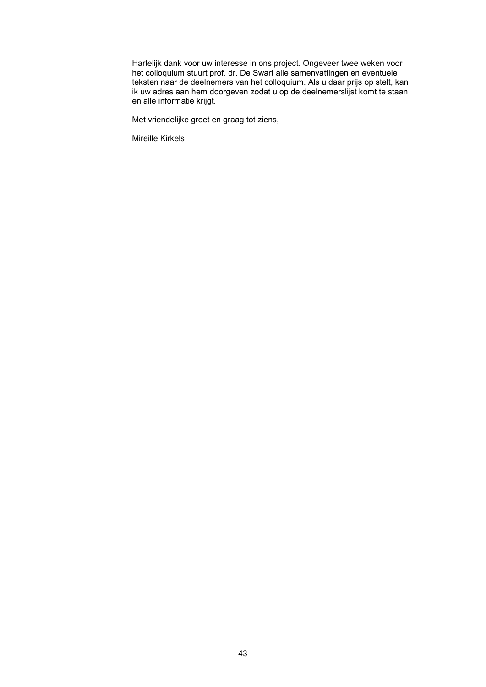Hartelijk dank voor uw interesse in ons project. Ongeveer twee weken voor het colloquium stuurt prof. dr. De Swart alle samenvattingen en eventuele teksten naar de deelnemers van het colloquium. Als u daar prijs op stelt, kan ik uw adres aan hem doorgeven zodat u op de deelnemerslijst komt te staan en alle informatie krijgt.

Met vriendelijke groet en graag tot ziens,

Mireille Kirkels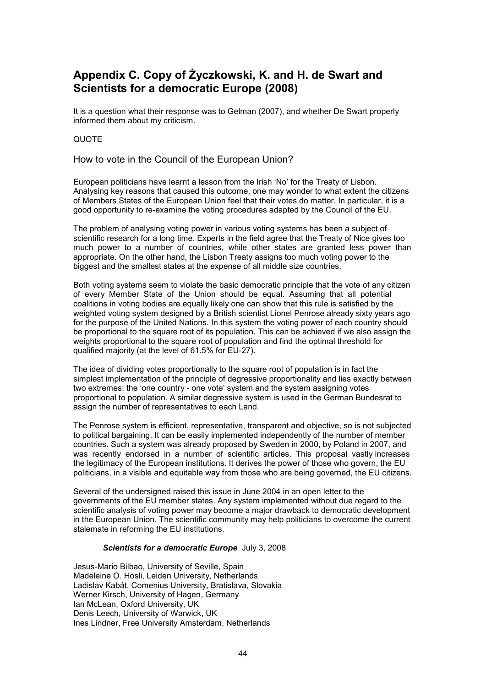# **Appendix C. Copy of Życzkowski, K. and H. de Swart and Scientists for a democratic Europe (2008)**

It is a question what their response was to Gelman (2007), and whether De Swart properly informed them about my criticism.

#### QUOTE

How to vote in the Council of the European Union?

European politicians have learnt a lesson from the Irish 'No' for the Treaty of Lisbon. Analysing key reasons that caused this outcome, one may wonder to what extent the citizens of Members States of the European Union feel that their votes do matter. In particular, it is a good opportunity to re-examine the voting procedures adapted by the Council of the EU.

The problem of analysing voting power in various voting systems has been a subject of scientific research for a long time. Experts in the field agree that the Treaty of Nice gives too much power to a number of countries, while other states are granted less power than appropriate. On the other hand, the Lisbon Treaty assigns too much voting power to the biggest and the smallest states at the expense of all middle size countries.

Both voting systems seem to violate the basic democratic principle that the vote of any citizen of every Member State of the Union should be equal. Assuming that all potential coalitions in voting bodies are equally likely one can show that this rule is satisfied by the weighted voting system designed by a British scientist Lionel Penrose already sixty years ago for the purpose of the United Nations. In this system the voting power of each country should be proportional to the square root of its population. This can be achieved if we also assign the weights proportional to the square root of population and find the optimal threshold for qualified majority (at the level of 61.5% for EU-27).

The idea of dividing votes proportionally to the square root of population is in fact the simplest implementation of the principle of degressive proportionality and lies exactly between two extremes: the 'one country - one vote' system and the system assigning votes proportional to population. A similar degressive system is used in the German Bundesrat to assign the number of representatives to each Land.

The Penrose system is efficient, representative, transparent and objective, so is not subjected to political bargaining. It can be easily implemented independently of the number of member countries. Such a system was already proposed by Sweden in 2000, by Poland in 2007, and was recently endorsed in a number of scientific articles. This proposal vastly increases the legitimacy of the European institutions. It derives the power of those who govern, the EU politicians, in a visible and equitable way from those who are being governed, the EU citizens.

Several of the undersigned raised this issue in June 2004 in an open letter to the governments of the EU member states. Any system implemented without due regard to the scientific analysis of voting power may become a major drawback to democratic development in the European Union. The scientific community may help politicians to overcome the current stalemate in reforming the EU institutions.

#### *Scientists for a democratic Europe* July 3, 2008

Jesus-Mario Bilbao, University of Seville, Spain Madeleine O. Hosli, Leiden University, Netherlands Ladislav Kabát, Comenius University, Bratislava, Slovakia Werner Kirsch, University of Hagen, Germany Ian McLean, Oxford University, UK Denis Leech, University of Warwick, UK Ines Lindner, Free University Amsterdam, Netherlands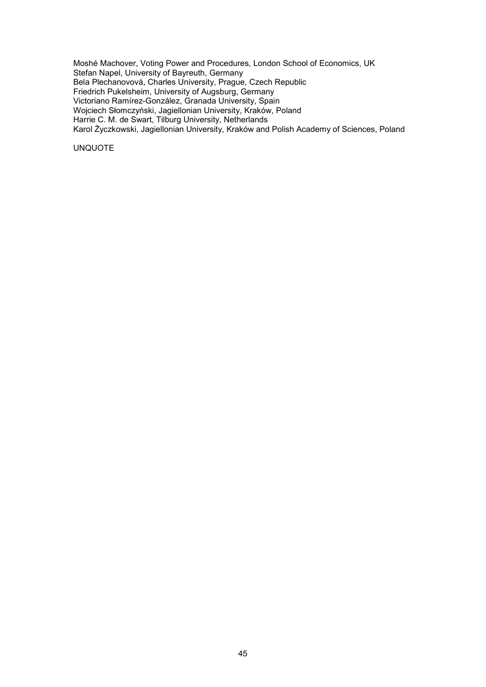Moshé Machover, Voting Power and Procedures, London School of Economics, UK Stefan Napel, University of Bayreuth, Germany Bela Plechanovová, Charles University, Prague, Czech Republic Friedrich Pukelsheim, University of Augsburg, Germany Victoriano Ramírez-González, Granada University, Spain Wojciech Słomczyński, Jagiellonian University, Kraków, Poland Harrie C. M. de Swart, Tilburg University, Netherlands Karol Życzkowski, Jagiellonian University, Kraków and Polish Academy of Sciences, Poland

UNQUOTE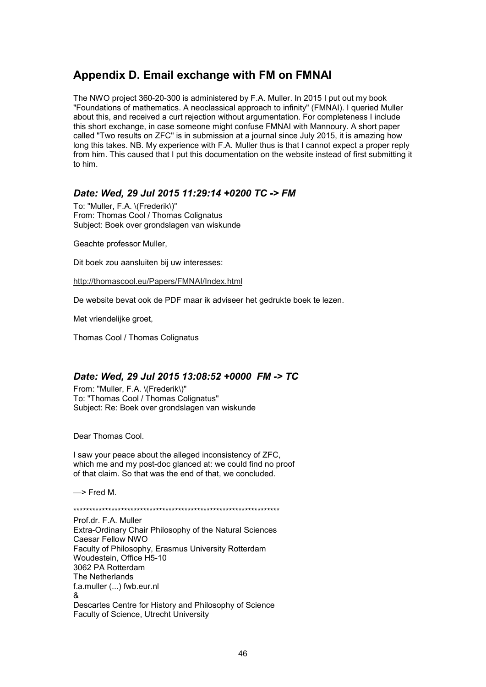# **Appendix D. Email exchange with FM on FMNAI**

The NWO project 360-20-300 is administered by F.A. Muller. In 2015 I put out my book "Foundations of mathematics. A neoclassical approach to infinity" (FMNAI). I queried Muller about this, and received a curt rejection without argumentation. For completeness I include this short exchange, in case someone might confuse FMNAI with Mannoury. A short paper called "Two results on ZFC" is in submission at a journal since July 2015, it is amazing how long this takes. NB. My experience with F.A. Muller thus is that I cannot expect a proper reply from him. This caused that I put this documentation on the website instead of first submitting it to him.

# *Date: Wed, 29 Jul 2015 11:29:14 +0200 TC -> FM*

To: "Muller, F.A. \(Frederik\)" From: Thomas Cool / Thomas Colignatus Subject: Boek over grondslagen van wiskunde

Geachte professor Muller,

Dit boek zou aansluiten bij uw interesses:

http://thomascool.eu/Papers/FMNAI/Index.html

De website bevat ook de PDF maar ik adviseer het gedrukte boek te lezen.

Met vriendelijke groet,

Thomas Cool / Thomas Colignatus

# *Date: Wed, 29 Jul 2015 13:08:52 +0000 FM -> TC*

From: "Muller, F.A. \(Frederik\)" To: "Thomas Cool / Thomas Colignatus" Subject: Re: Boek over grondslagen van wiskunde

Dear Thomas Cool.

I saw your peace about the alleged inconsistency of ZFC, which me and my post-doc glanced at: we could find no proof of that claim. So that was the end of that, we concluded.

—> Fred M.

\*\*\*\*\*\*\*\*\*\*\*\*\*\*\*\*\*\*\*\*\*\*\*\*\*\*\*\*\*\*\*\*\*\*\*\*\*\*\*\*\*\*\*\*\*\*\*\*\*\*\*\*\*\*\*\*\*\*\*\*\*\*\*\*\*

Prof.dr. F.A. Muller Extra-Ordinary Chair Philosophy of the Natural Sciences Caesar Fellow NWO Faculty of Philosophy, Erasmus University Rotterdam Woudestein, Office H5-10 3062 PA Rotterdam The Netherlands f.a.muller (...) fwb.eur.nl & Descartes Centre for History and Philosophy of Science Faculty of Science, Utrecht University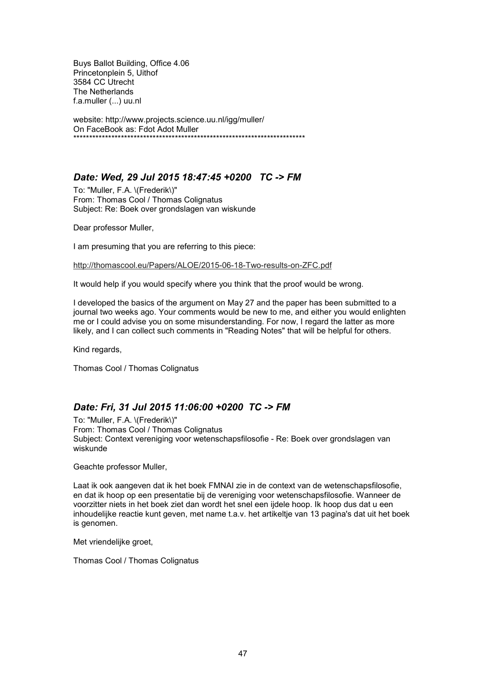Buys Ballot Building, Office 4.06 Princetonplein 5, Uithof 3584 CC Utrecht The Netherlands f.a.muller (...) uu.nl

website: http://www.projects.science.uu.nl/igg/muller/ On FaceBook as: Fdot Adot Muller \*\*\*\*\*\*\*\*\*\*\*\*\*\*\*\*\*\*\*\*\*\*\*\*\*\*\*\*\*\*\*\*\*\*\*\*\*\*\*\*\*\*\*\*\*\*\*\*\*\*\*\*\*\*\*\*\*\*\*\*\*\*\*\*\*\*\*\*\*\*\*\*\*

# *Date: Wed, 29 Jul 2015 18:47:45 +0200 TC -> FM*

To: "Muller, F.A. \(Frederik\)" From: Thomas Cool / Thomas Colignatus Subject: Re: Boek over grondslagen van wiskunde

Dear professor Muller,

I am presuming that you are referring to this piece:

http://thomascool.eu/Papers/ALOE/2015-06-18-Two-results-on-ZFC.pdf

It would help if you would specify where you think that the proof would be wrong.

I developed the basics of the argument on May 27 and the paper has been submitted to a journal two weeks ago. Your comments would be new to me, and either you would enlighten me or I could advise you on some misunderstanding. For now, I regard the latter as more likely, and I can collect such comments in "Reading Notes" that will be helpful for others.

Kind regards,

Thomas Cool / Thomas Colignatus

# *Date: Fri, 31 Jul 2015 11:06:00 +0200 TC -> FM*

To: "Muller, F.A. \(Frederik\)" From: Thomas Cool / Thomas Colignatus Subject: Context vereniging voor wetenschapsfilosofie - Re: Boek over grondslagen van wiskunde

Geachte professor Muller,

Laat ik ook aangeven dat ik het boek FMNAI zie in de context van de wetenschapsfilosofie, en dat ik hoop op een presentatie bij de vereniging voor wetenschapsfilosofie. Wanneer de voorzitter niets in het boek ziet dan wordt het snel een ijdele hoop. Ik hoop dus dat u een inhoudelijke reactie kunt geven, met name t.a.v. het artikeltje van 13 pagina's dat uit het boek is genomen.

Met vriendelijke groet,

Thomas Cool / Thomas Colignatus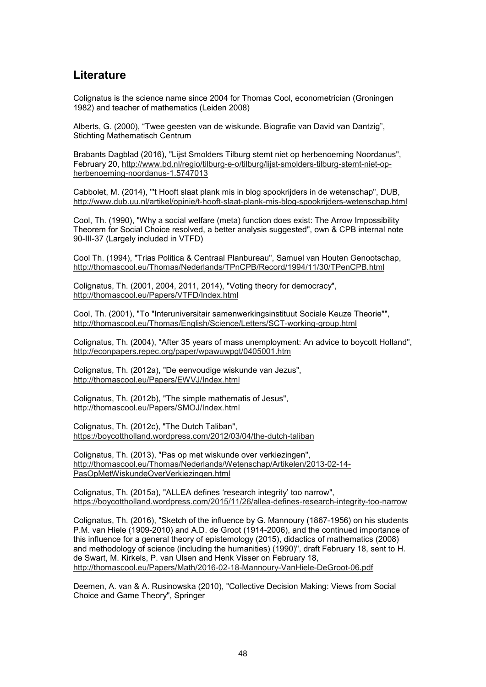# **Literature**

Colignatus is the science name since 2004 for Thomas Cool, econometrician (Groningen 1982) and teacher of mathematics (Leiden 2008)

Alberts, G. (2000), "Twee geesten van de wiskunde. Biografie van David van Dantzig", Stichting Mathematisch Centrum

Brabants Dagblad (2016), "Lijst Smolders Tilburg stemt niet op herbenoeming Noordanus", February 20, http://www.bd.nl/regio/tilburg-e-o/tilburg/lijst-smolders-tilburg-stemt-niet-opherbenoeming-noordanus-1.5747013

Cabbolet, M. (2014), "'t Hooft slaat plank mis in blog spookrijders in de wetenschap", DUB, http://www.dub.uu.nl/artikel/opinie/t-hooft-slaat-plank-mis-blog-spookrijders-wetenschap.html

Cool, Th. (1990), "Why a social welfare (meta) function does exist: The Arrow Impossibility Theorem for Social Choice resolved, a better analysis suggested", own & CPB internal note 90-III-37 (Largely included in VTFD)

Cool Th. (1994), "Trias Politica & Centraal Planbureau", Samuel van Houten Genootschap, http://thomascool.eu/Thomas/Nederlands/TPnCPB/Record/1994/11/30/TPenCPB.html

Colignatus, Th. (2001, 2004, 2011, 2014), "Voting theory for democracy", http://thomascool.eu/Papers/VTFD/Index.html

Cool, Th. (2001), "To "Interuniversitair samenwerkingsinstituut Sociale Keuze Theorie"", http://thomascool.eu/Thomas/English/Science/Letters/SCT-working-group.html

Colignatus, Th. (2004), "After 35 years of mass unemployment: An advice to boycott Holland", http://econpapers.repec.org/paper/wpawuwpgt/0405001.htm

Colignatus, Th. (2012a), "De eenvoudige wiskunde van Jezus", http://thomascool.eu/Papers/EWVJ/Index.html

Colignatus, Th. (2012b), "The simple mathematis of Jesus", http://thomascool.eu/Papers/SMOJ/Index.html

Colignatus, Th. (2012c), "The Dutch Taliban", https://boycottholland.wordpress.com/2012/03/04/the-dutch-taliban

Colignatus, Th. (2013), "Pas op met wiskunde over verkiezingen", http://thomascool.eu/Thomas/Nederlands/Wetenschap/Artikelen/2013-02-14- PasOpMetWiskundeOverVerkiezingen.html

Colignatus, Th. (2015a), "ALLEA defines 'research integrity' too narrow", https://boycottholland.wordpress.com/2015/11/26/allea-defines-research-integrity-too-narrow

Colignatus, Th. (2016), "Sketch of the influence by G. Mannoury (1867-1956) on his students P.M. van Hiele (1909-2010) and A.D. de Groot (1914-2006), and the continued importance of this influence for a general theory of epistemology (2015), didactics of mathematics (2008) and methodology of science (including the humanities) (1990)", draft February 18, sent to H. de Swart, M. Kirkels, P. van Ulsen and Henk Visser on February 18, http://thomascool.eu/Papers/Math/2016-02-18-Mannoury-VanHiele-DeGroot-06.pdf

Deemen, A. van & A. Rusinowska (2010), "Collective Decision Making: Views from Social Choice and Game Theory", Springer